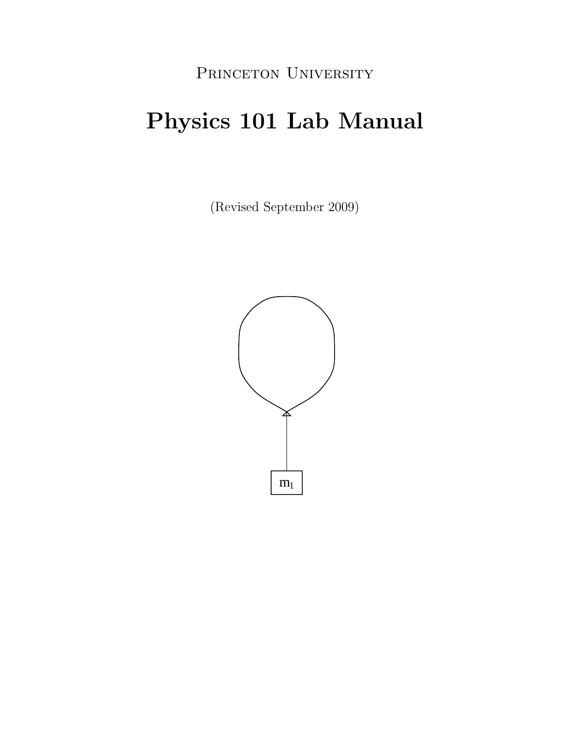## PRINCETON UNIVERSITY

# **Physics 101 Lab Manual**

(Revised September 2009)

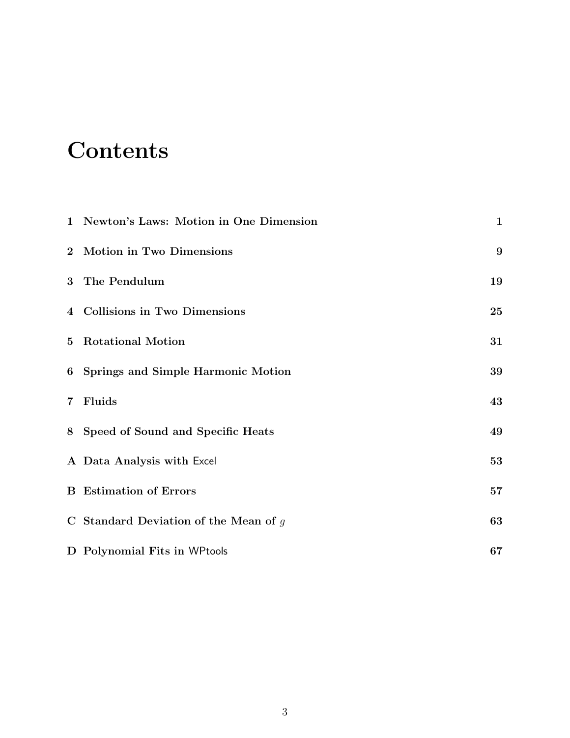# **Contents**

|                | 1 Newton's Laws: Motion in One Dimension | $\mathbf{1}$ |
|----------------|------------------------------------------|--------------|
|                | 2 Motion in Two Dimensions               | 9            |
|                | 3 The Pendulum                           | 19           |
|                | 4 Collisions in Two Dimensions           | <b>25</b>    |
| $5^{\circ}$    | <b>Rotational Motion</b>                 | 31           |
|                | 6 Springs and Simple Harmonic Motion     | 39           |
| $\overline{7}$ | Fluids                                   | 43           |
|                | 8 Speed of Sound and Specific Heats      | 49           |
|                | A Data Analysis with Excel               | 53           |
|                | <b>B</b> Estimation of Errors            | 57           |
|                | C Standard Deviation of the Mean of $g$  | 63           |
|                | D Polynomial Fits in WPtools             | 67           |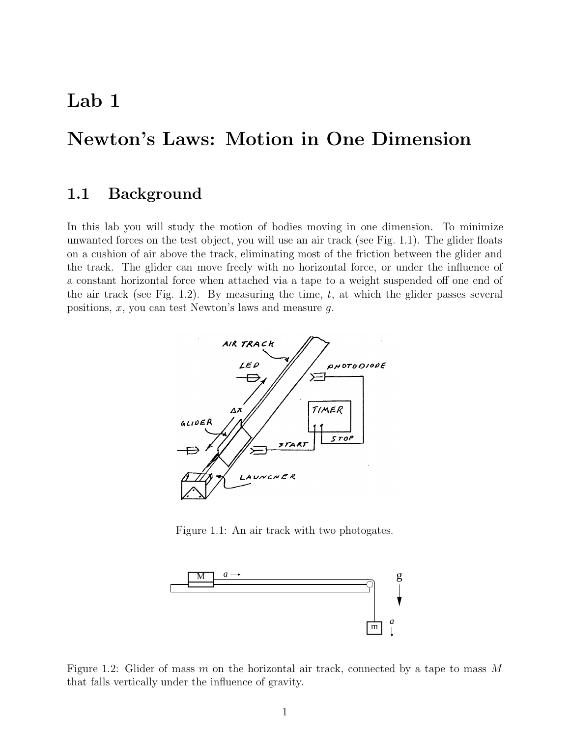## **Lab 1**

## **Newton's Laws: Motion in One Dimension**

### **1.1 Background**

In this lab you will study the motion of bodies moving in one dimension. To minimize unwanted forces on the test object, you will use an air track (see Fig. 1.1). The glider floats on a cushion of air above the track, eliminating most of the friction between the glider and the track. The glider can move freely with no horizontal force, or under the influence of a constant horizontal force when attached via a tape to a weight suspended off one end of the air track (see Fig. 1.2). By measuring the time,  $t$ , at which the glider passes several positions,  $x$ , you can test Newton's laws and measure  $q$ .



Figure 1.1: An air track with two photogates.



Figure 1.2: Glider of mass m on the horizontal air track, connected by a tape to mass M that falls vertically under the influence of gravity.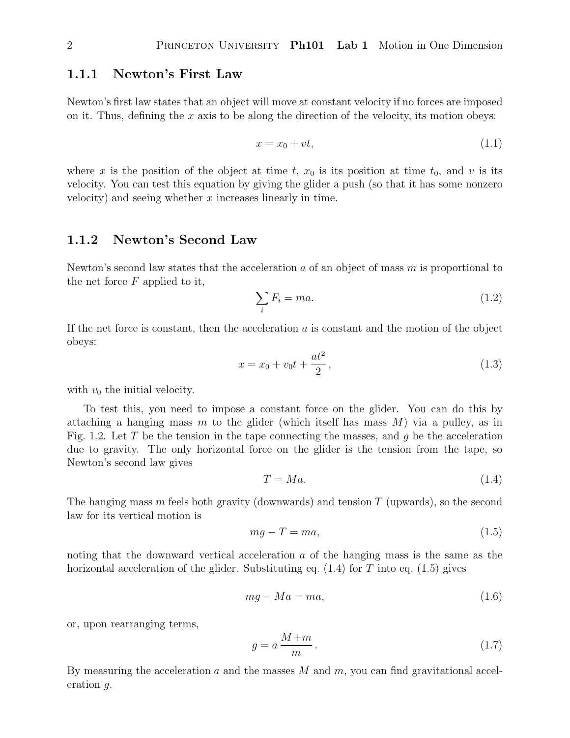#### **1.1.1 Newton's First Law**

Newton's first law states that an object will move at constant velocity if no forces are imposed on it. Thus, defining the x axis to be along the direction of the velocity, its motion obeys:

$$
x = x_0 + vt,\tag{1.1}
$$

where x is the position of the object at time t,  $x_0$  is its position at time  $t_0$ , and v is its velocity. You can test this equation by giving the glider a push (so that it has some nonzero velocity) and seeing whether  $x$  increases linearly in time.

#### **1.1.2 Newton's Second Law**

Newton's second law states that the acceleration  $a$  of an object of mass  $m$  is proportional to the net force  $F$  applied to it,

$$
\sum_{i} F_i = ma. \tag{1.2}
$$

If the net force is constant, then the acceleration  $a$  is constant and the motion of the object obeys:

$$
x = x_0 + v_0 t + \frac{at^2}{2},
$$
\n(1.3)

with  $v_0$  the initial velocity.

To test this, you need to impose a constant force on the glider. You can do this by attaching a hanging mass m to the glider (which itself has mass  $M$ ) via a pulley, as in Fig. 1.2. Let T be the tension in the tape connecting the masses, and q be the acceleration due to gravity. The only horizontal force on the glider is the tension from the tape, so Newton's second law gives

$$
T = Ma.\tag{1.4}
$$

The hanging mass m feels both gravity (downwards) and tension  $T$  (upwards), so the second law for its vertical motion is

$$
mg - T = ma,\tag{1.5}
$$

noting that the downward vertical acceleration a of the hanging mass is the same as the horizontal acceleration of the glider. Substituting eq.  $(1.4)$  for T into eq.  $(1.5)$  gives

$$
mg - Ma = ma,\t\t(1.6)
$$

or, upon rearranging terms,

$$
g = a \frac{M+m}{m} \,. \tag{1.7}
$$

By measuring the acceleration  $a$  and the masses  $M$  and  $m$ , you can find gravitational acceleration g.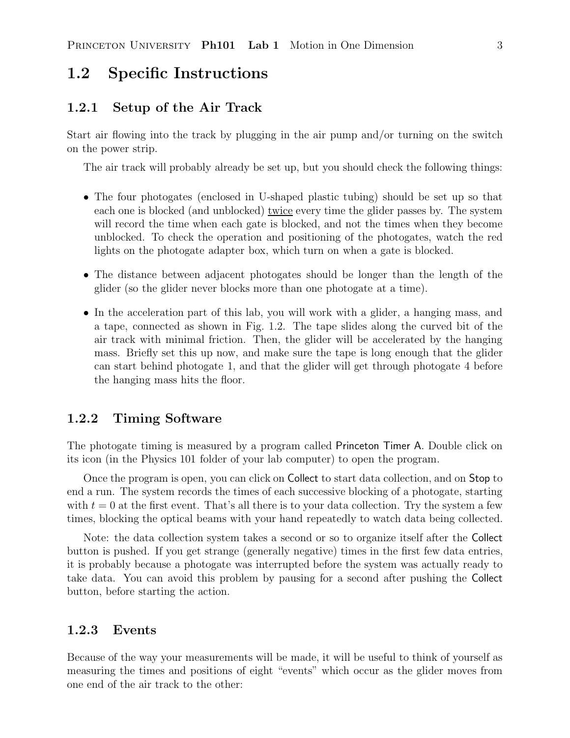## **1.2 Specific Instructions**

#### **1.2.1 Setup of the Air Track**

Start air flowing into the track by plugging in the air pump and/or turning on the switch on the power strip.

The air track will probably already be set up, but you should check the following things:

- The four photogates (enclosed in U-shaped plastic tubing) should be set up so that each one is blocked (and unblocked) twice every time the glider passes by. The system will record the time when each gate is blocked, and not the times when they become unblocked. To check the operation and positioning of the photogates, watch the red lights on the photogate adapter box, which turn on when a gate is blocked.
- The distance between adjacent photogates should be longer than the length of the glider (so the glider never blocks more than one photogate at a time).
- In the acceleration part of this lab, you will work with a glider, a hanging mass, and a tape, connected as shown in Fig. 1.2. The tape slides along the curved bit of the air track with minimal friction. Then, the glider will be accelerated by the hanging mass. Briefly set this up now, and make sure the tape is long enough that the glider can start behind photogate 1, and that the glider will get through photogate 4 before the hanging mass hits the floor.

#### **1.2.2 Timing Software**

The photogate timing is measured by a program called Princeton Timer A. Double click on its icon (in the Physics 101 folder of your lab computer) to open the program.

Once the program is open, you can click on Collect to start data collection, and on Stop to end a run. The system records the times of each successive blocking of a photogate, starting with  $t = 0$  at the first event. That's all there is to your data collection. Try the system a few times, blocking the optical beams with your hand repeatedly to watch data being collected.

Note: the data collection system takes a second or so to organize itself after the Collect button is pushed. If you get strange (generally negative) times in the first few data entries, it is probably because a photogate was interrupted before the system was actually ready to take data. You can avoid this problem by pausing for a second after pushing the Collect button, before starting the action.

#### **1.2.3 Events**

Because of the way your measurements will be made, it will be useful to think of yourself as measuring the times and positions of eight "events" which occur as the glider moves from one end of the air track to the other: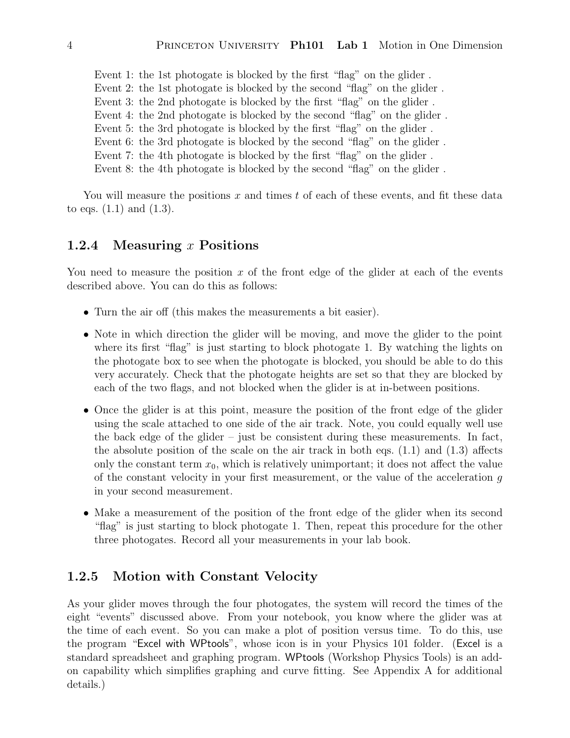Event 1: the 1st photogate is blocked by the first "flag" on the glider . Event 2: the 1st photogate is blocked by the second "flag" on the glider . Event 3: the 2nd photogate is blocked by the first "flag" on the glider . Event 4: the 2nd photogate is blocked by the second "flag" on the glider . Event 5: the 3rd photogate is blocked by the first "flag" on the glider . Event 6: the 3rd photogate is blocked by the second "flag" on the glider . Event 7: the 4th photogate is blocked by the first "flag" on the glider . Event 8: the 4th photogate is blocked by the second "flag" on the glider .

You will measure the positions x and times t of each of these events, and fit these data to eqs.  $(1.1)$  and  $(1.3)$ .

#### **1.2.4 Measuring** x **Positions**

You need to measure the position x of the front edge of the glider at each of the events described above. You can do this as follows:

- Turn the air off (this makes the measurements a bit easier).
- Note in which direction the glider will be moving, and move the glider to the point where its first "flag" is just starting to block photogate 1. By watching the lights on the photogate box to see when the photogate is blocked, you should be able to do this very accurately. Check that the photogate heights are set so that they are blocked by each of the two flags, and not blocked when the glider is at in-between positions.
- Once the glider is at this point, measure the position of the front edge of the glider using the scale attached to one side of the air track. Note, you could equally well use the back edge of the glider – just be consistent during these measurements. In fact, the absolute position of the scale on the air track in both eqs. (1.1) and (1.3) affects only the constant term  $x_0$ , which is relatively unimportant; it does not affect the value of the constant velocity in your first measurement, or the value of the acceleration  $g$ in your second measurement.
- Make a measurement of the position of the front edge of the glider when its second "flag" is just starting to block photogate 1. Then, repeat this procedure for the other three photogates. Record all your measurements in your lab book.

#### **1.2.5 Motion with Constant Velocity**

As your glider moves through the four photogates, the system will record the times of the eight "events" discussed above. From your notebook, you know where the glider was at the time of each event. So you can make a plot of position versus time. To do this, use the program "Excel with WPtools", whose icon is in your Physics 101 folder. (Excel is a standard spreadsheet and graphing program. WPtools (Workshop Physics Tools) is an addon capability which simplifies graphing and curve fitting. See Appendix A for additional details.)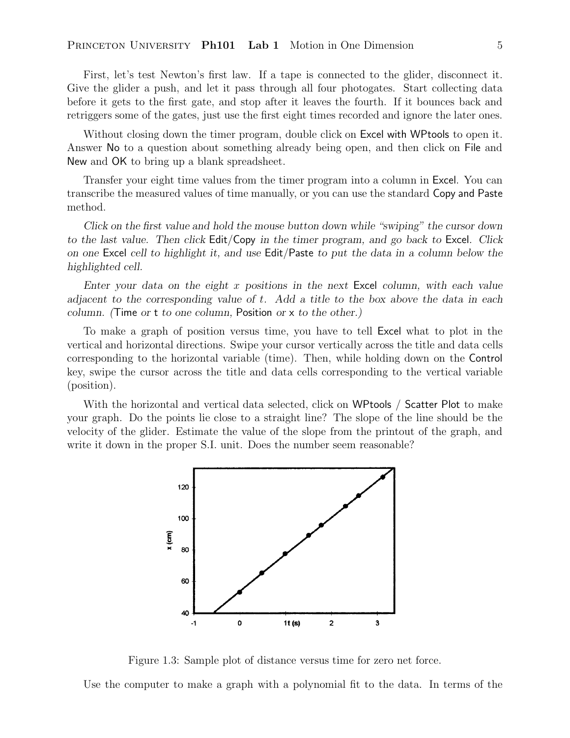First, let's test Newton's first law. If a tape is connected to the glider, disconnect it. Give the glider a push, and let it pass through all four photogates. Start collecting data before it gets to the first gate, and stop after it leaves the fourth. If it bounces back and retriggers some of the gates, just use the first eight times recorded and ignore the later ones.

Without closing down the timer program, double click on Excel with WPtools to open it. Answer No to a question about something already being open, and then click on File and New and OK to bring up a blank spreadsheet.

Transfer your eight time values from the timer program into a column in Excel. You can transcribe the measured values of time manually, or you can use the standard Copy and Paste method.

*Click on the first value and hold the mouse button down while "swiping" the cursor down to the last value. Then click* Edit/Copy *in the timer program, and go back to* Excel*. Click on one* Excel *cell to highlight it, and use* Edit/Paste *to put the data in a column below the highlighted cell.*

*Enter your data on the eight* x *positions in the next* Excel *column, with each value adjacent to the corresponding value of* t*. Add a title to the box above the data in each column. (*Time *or* t *to one column,* Position *or* x *to the other.)*

To make a graph of position versus time, you have to tell Excel what to plot in the vertical and horizontal directions. Swipe your cursor vertically across the title and data cells corresponding to the horizontal variable (time). Then, while holding down on the Control key, swipe the cursor across the title and data cells corresponding to the vertical variable (position).

With the horizontal and vertical data selected, click on WPtools / Scatter Plot to make your graph. Do the points lie close to a straight line? The slope of the line should be the velocity of the glider. Estimate the value of the slope from the printout of the graph, and write it down in the proper S.I. unit. Does the number seem reasonable?



Figure 1.3: Sample plot of distance versus time for zero net force.

Use the computer to make a graph with a polynomial fit to the data. In terms of the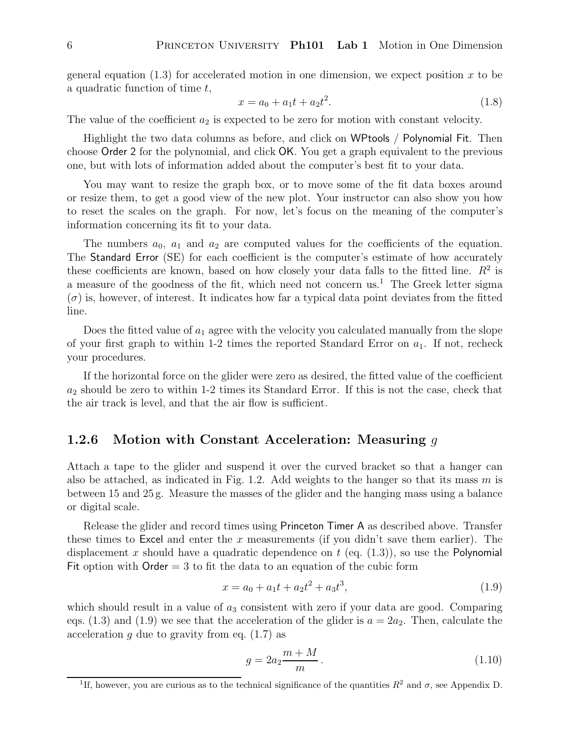general equation  $(1.3)$  for accelerated motion in one dimension, we expect position x to be a quadratic function of time t,

$$
x = a_0 + a_1 t + a_2 t^2. \tag{1.8}
$$

The value of the coefficient  $a_2$  is expected to be zero for motion with constant velocity.

Highlight the two data columns as before, and click on WPtools / Polynomial Fit. Then choose Order 2 for the polynomial, and click OK. You get a graph equivalent to the previous one, but with lots of information added about the computer's best fit to your data.

You may want to resize the graph box, or to move some of the fit data boxes around or resize them, to get a good view of the new plot. Your instructor can also show you how to reset the scales on the graph. For now, let's focus on the meaning of the computer's information concerning its fit to your data.

The numbers  $a_0$ ,  $a_1$  and  $a_2$  are computed values for the coefficients of the equation. The Standard Error (SE) for each coefficient is the computer's estimate of how accurately these coefficients are known, based on how closely your data falls to the fitted line.  $R^2$  is a measure of the goodness of the fit, which need not concern us.<sup>1</sup> The Greek letter sigma  $(\sigma)$  is, however, of interest. It indicates how far a typical data point deviates from the fitted line.

Does the fitted value of  $a_1$  agree with the velocity you calculated manually from the slope of your first graph to within 1-2 times the reported Standard Error on  $a_1$ . If not, recheck your procedures.

If the horizontal force on the glider were zero as desired, the fitted value of the coefficient  $a_2$  should be zero to within 1-2 times its Standard Error. If this is not the case, check that the air track is level, and that the air flow is sufficient.

### **1.2.6 Motion with Constant Acceleration: Measuring** g

Attach a tape to the glider and suspend it over the curved bracket so that a hanger can also be attached, as indicated in Fig. 1.2. Add weights to the hanger so that its mass m is between 15 and 25 g. Measure the masses of the glider and the hanging mass using a balance or digital scale.

Release the glider and record times using Princeton Timer A as described above. Transfer these times to Excel and enter the x measurements (if you didn't save them earlier). The displacement x should have a quadratic dependence on t (eq.  $(1.3)$ ), so use the Polynomial Fit option with  $Order = 3$  to fit the data to an equation of the cubic form

$$
x = a_0 + a_1t + a_2t^2 + a_3t^3,
$$
\n(1.9)

which should result in a value of  $a_3$  consistent with zero if your data are good. Comparing eqs. (1.3) and (1.9) we see that the acceleration of the glider is  $a = 2a_2$ . Then, calculate the acceleration  $g$  due to gravity from eq.  $(1.7)$  as

$$
g = 2a_2 \frac{m+M}{m}.
$$
 (1.10)

<sup>&</sup>lt;sup>1</sup>If, however, you are curious as to the technical significance of the quantities  $R^2$  and  $\sigma$ , see Appendix D.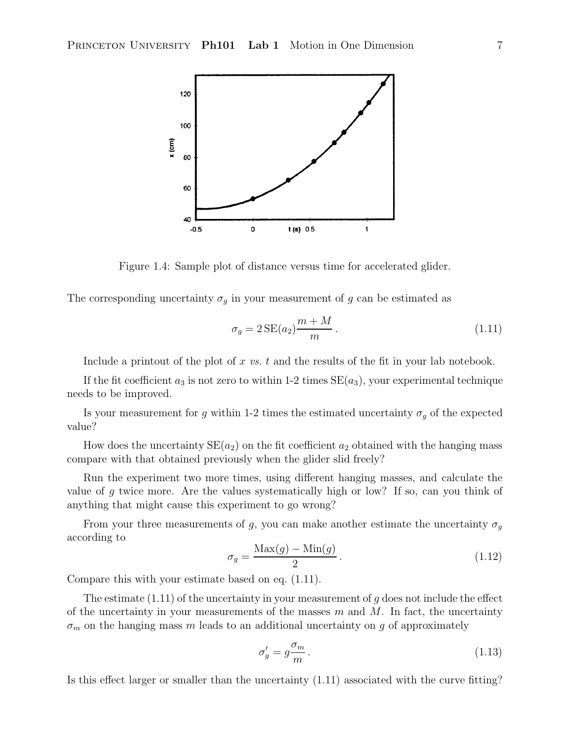

Figure 1.4: Sample plot of distance versus time for accelerated glider.

The corresponding uncertainty  $\sigma_g$  in your measurement of g can be estimated as

$$
\sigma_g = 2\operatorname{SE}(a_2) \frac{m+M}{m} \,. \tag{1.11}
$$

Include a printout of the plot of x *vs.* t and the results of the fit in your lab notebook.

If the fit coefficient  $a_3$  is not zero to within 1-2 times  $SE(a_3)$ , your experimental technique needs to be improved.

Is your measurement for g within 1-2 times the estimated uncertainty  $\sigma_g$  of the expected value?

How does the uncertainty  $SE(a_2)$  on the fit coefficient  $a_2$  obtained with the hanging mass compare with that obtained previously when the glider slid freely?

Run the experiment two more times, using different hanging masses, and calculate the value of  $g$  twice more. Are the values systematically high or low? If so, can you think of anything that might cause this experiment to go wrong?

From your three measurements of g, you can make another estimate the uncertainty  $\sigma_g$ according to

$$
\sigma_g = \frac{\text{Max}(g) - \text{Min}(g)}{2} \,. \tag{1.12}
$$

Compare this with your estimate based on eq. (1.11).

The estimate  $(1.11)$  of the uncertainty in your measurement of g does not include the effect of the uncertainty in your measurements of the masses  $m$  and  $M$ . In fact, the uncertainty  $\sigma_m$  on the hanging mass m leads to an additional uncertainty on g of approximately

$$
\sigma'_g = g \frac{\sigma_m}{m} \,. \tag{1.13}
$$

Is this effect larger or smaller than the uncertainty (1.11) associated with the curve fitting?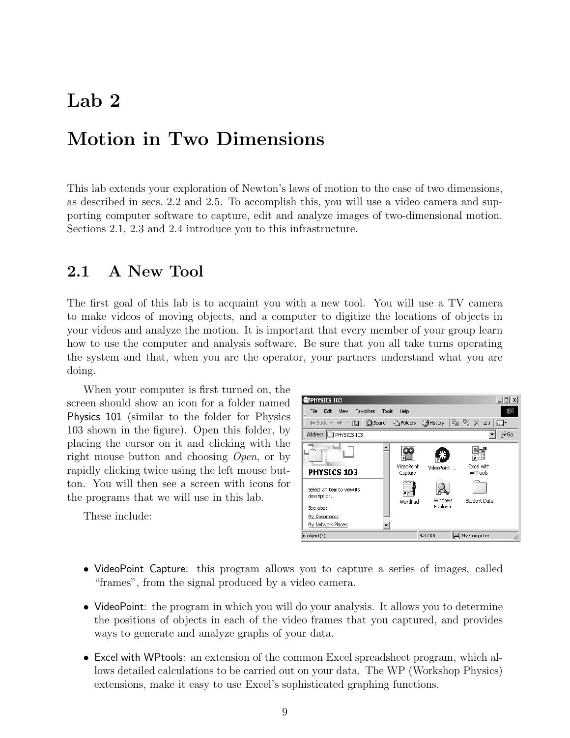## **Lab 2**

## **Motion in Two Dimensions**

This lab extends your exploration of Newton's laws of motion to the case of two dimensions, as described in secs. 2.2 and 2.5. To accomplish this, you will use a video camera and supporting computer software to capture, edit and analyze images of two-dimensional motion. Sections 2.1, 2.3 and 2.4 introduce you to this infrastructure.

### **2.1 A New Tool**

The first goal of this lab is to acquaint you with a new tool. You will use a TV camera to make videos of moving objects, and a computer to digitize the locations of objects in your videos and analyze the motion. It is important that every member of your group learn how to use the computer and analysis software. Be sure that you all take turns operating the system and that, when you are the operator, your partners understand what you are doing.

When your computer is first turned on, the screen should show an icon for a folder named Physics 101 (similar to the folder for Physics 103 shown in the figure). Open this folder, by placing the cursor on it and clicking with the right mouse button and choosing *Open*, or by rapidly clicking twice using the left mouse button. You will then see a screen with icons for the programs that we will use in this lab.

These include:



- VideoPoint Capture: this program allows you to capture a series of images, called "frames", from the signal produced by a video camera.
- VideoPoint: the program in which you will do your analysis. It allows you to determine the positions of objects in each of the video frames that you captured, and provides ways to generate and analyze graphs of your data.
- Excel with WPtools: an extension of the common Excel spreadsheet program, which allows detailed calculations to be carried out on your data. The WP (Workshop Physics) extensions, make it easy to use Excel's sophisticated graphing functions.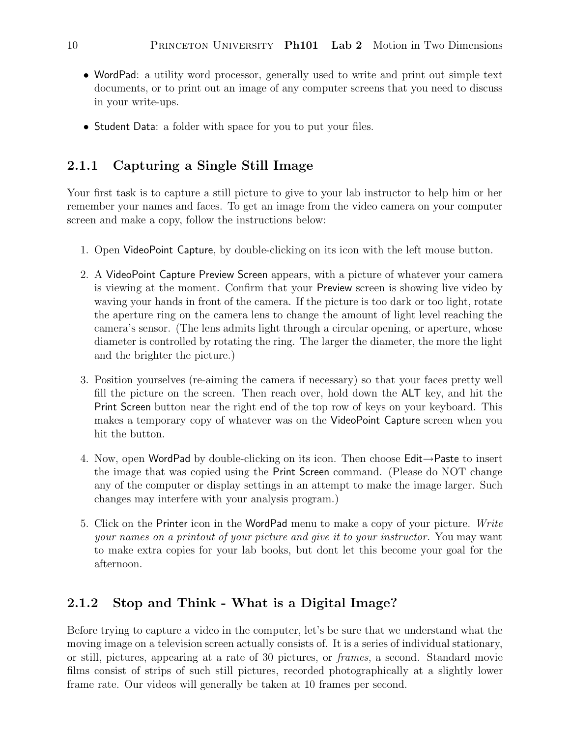- WordPad: a utility word processor, generally used to write and print out simple text documents, or to print out an image of any computer screens that you need to discuss in your write-ups.
- Student Data: a folder with space for you to put your files.

### **2.1.1 Capturing a Single Still Image**

Your first task is to capture a still picture to give to your lab instructor to help him or her remember your names and faces. To get an image from the video camera on your computer screen and make a copy, follow the instructions below:

- 1. Open VideoPoint Capture, by double-clicking on its icon with the left mouse button.
- 2. A VideoPoint Capture Preview Screen appears, with a picture of whatever your camera is viewing at the moment. Confirm that your Preview screen is showing live video by waving your hands in front of the camera. If the picture is too dark or too light, rotate the aperture ring on the camera lens to change the amount of light level reaching the camera's sensor. (The lens admits light through a circular opening, or aperture, whose diameter is controlled by rotating the ring. The larger the diameter, the more the light and the brighter the picture.)
- 3. Position yourselves (re-aiming the camera if necessary) so that your faces pretty well fill the picture on the screen. Then reach over, hold down the ALT key, and hit the Print Screen button near the right end of the top row of keys on your keyboard. This makes a temporary copy of whatever was on the VideoPoint Capture screen when you hit the button.
- 4. Now, open WordPad by double-clicking on its icon. Then choose Edit→Paste to insert the image that was copied using the Print Screen command. (Please do NOT change any of the computer or display settings in an attempt to make the image larger. Such changes may interfere with your analysis program.)
- 5. Click on the Printer icon in the WordPad menu to make a copy of your picture. *Write your names on a printout of your picture and give it to your instructor.* You may want to make extra copies for your lab books, but dont let this become your goal for the afternoon.

### **2.1.2 Stop and Think - What is a Digital Image?**

Before trying to capture a video in the computer, let's be sure that we understand what the moving image on a television screen actually consists of. It is a series of individual stationary, or still, pictures, appearing at a rate of 30 pictures, or *frames*, a second. Standard movie films consist of strips of such still pictures, recorded photographically at a slightly lower frame rate. Our videos will generally be taken at 10 frames per second.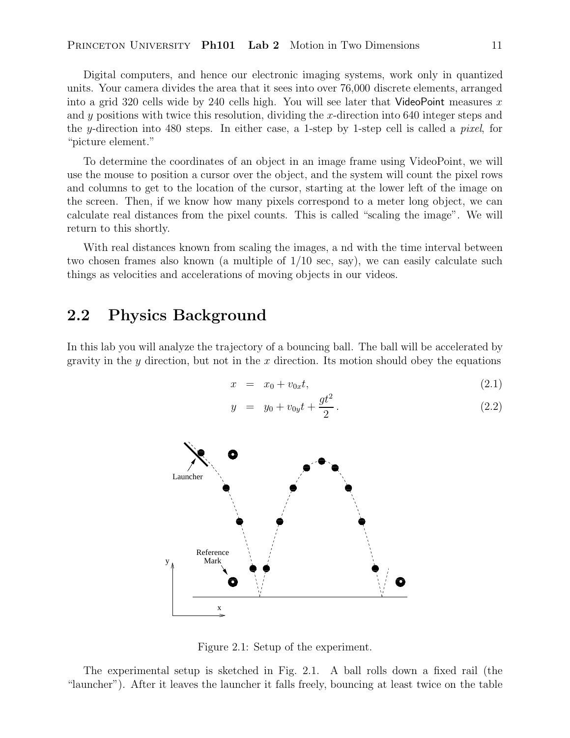Digital computers, and hence our electronic imaging systems, work only in quantized units. Your camera divides the area that it sees into over 76,000 discrete elements, arranged into a grid 320 cells wide by 240 cells high. You will see later that VideoPoint measures x and  $y$  positions with twice this resolution, dividing the  $x$ -direction into 640 integer steps and the y-direction into 480 steps. In either case, a 1-step by 1-step cell is called a *pixel*, for "picture element."

To determine the coordinates of an object in an image frame using VideoPoint, we will use the mouse to position a cursor over the object, and the system will count the pixel rows and columns to get to the location of the cursor, starting at the lower left of the image on the screen. Then, if we know how many pixels correspond to a meter long object, we can calculate real distances from the pixel counts. This is called "scaling the image". We will return to this shortly.

With real distances known from scaling the images, a nd with the time interval between two chosen frames also known (a multiple of 1/10 sec, say), we can easily calculate such things as velocities and accelerations of moving objects in our videos.

### **2.2 Physics Background**

In this lab you will analyze the trajectory of a bouncing ball. The ball will be accelerated by gravity in the y direction, but not in the  $x$  direction. Its motion should obey the equations

$$
x = x_0 + v_{0x}t, \t\t(2.1)
$$

$$
y = y_0 + v_{0y}t + \frac{gt^2}{2}.
$$
 (2.2)



Figure 2.1: Setup of the experiment.

The experimental setup is sketched in Fig. 2.1. A ball rolls down a fixed rail (the "launcher"). After it leaves the launcher it falls freely, bouncing at least twice on the table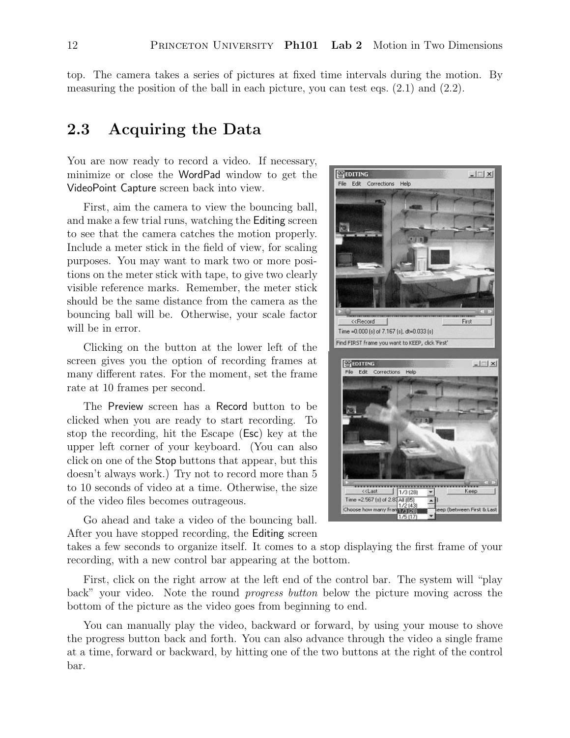**SEDITING** 

File Edit Corrections Help

Choose how many fra

偏便法有限

top. The camera takes a series of pictures at fixed time intervals during the motion. By measuring the position of the ball in each picture, you can test eqs. (2.1) and (2.2).

## **2.3 Acquiring the Data**

You are now ready to record a video. If necessary, minimize or close the WordPad window to get the VideoPoint Capture screen back into view.

First, aim the camera to view the bouncing ball, and make a few trial runs, watching the Editing screen to see that the camera catches the motion properly. Include a meter stick in the field of view, for scaling purposes. You may want to mark two or more positions on the meter stick with tape, to give two clearly visible reference marks. Remember, the meter stick should be the same distance from the camera as the bouncing ball will be. Otherwise, your scale factor will be in error.

Clicking on the button at the lower left of the screen gives you the option of recording frames at many different rates. For the moment, set the frame rate at 10 frames per second.

The Preview screen has a Record button to be clicked when you are ready to start recording. To stop the recording, hit the Escape (Esc) key at the upper left corner of your keyboard. (You can also click on one of the Stop buttons that appear, but this doesn't always work.) Try not to record more than 5 to 10 seconds of video at a time. Otherwise, the size of the video files becomes outrageous.

<<Record First Time =0.000 (s) of 7.167 (s), dt=0.033 (s) Find FIRST frame you want to KEEP, click 'First' **ES EDITING**  $|$  $\Box$  $\times$  $|$ File Edit Corrections Help <Last  $1/3(28)$ Кеер Time = 2.567 (s) of 2.83 All (85)  $\overline{\phantom{0}}$  $1/2$  [43]

 $\Box$  $\times$ 

tween First & Last

Go ahead and take a video of the bouncing ball. After you have stopped recording, the Editing screen

takes a few seconds to organize itself. It comes to a stop displaying the first frame of your recording, with a new control bar appearing at the bottom.

First, click on the right arrow at the left end of the control bar. The system will "play back" your video. Note the round *progress button* below the picture moving across the bottom of the picture as the video goes from beginning to end.

You can manually play the video, backward or forward, by using your mouse to shove the progress button back and forth. You can also advance through the video a single frame at a time, forward or backward, by hitting one of the two buttons at the right of the control bar.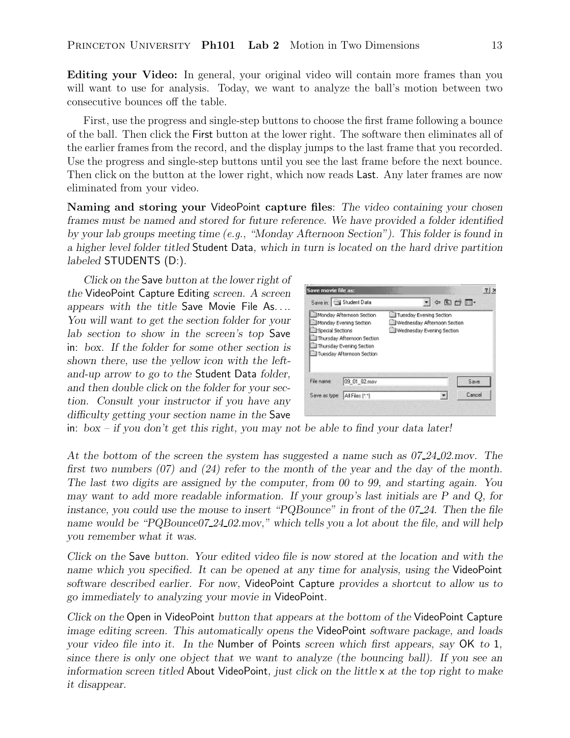**Editing your Video:** In general, your original video will contain more frames than you will want to use for analysis. Today, we want to analyze the ball's motion between two consecutive bounces off the table.

First, use the progress and single-step buttons to choose the first frame following a bounce of the ball. Then click the First button at the lower right. The software then eliminates all of the earlier frames from the record, and the display jumps to the last frame that you recorded. Use the progress and single-step buttons until you see the last frame before the next bounce. Then click on the button at the lower right, which now reads Last. Any later frames are now eliminated from your video.

**Naming and storing your** VideoPoint **capture files**: *The video containing your chosen frames must be named and stored for future reference. We have provided a folder identified by your lab groups meeting time (e.g., "Monday Afternoon Section"). This folder is found in a higher level folder titled* Student Data*, which in turn is located on the hard drive partition labeled* STUDENTS (D:)*.*

*Click on the* Save *button at the lower right of the* VideoPoint Capture Editing *screen. A screen appears with the title* Save Movie File As...*. You will want to get the section folder for your lab section to show in the screen's top* Save in: *box. If the folder for some other section is shown there, use the yellow icon with the leftand-up arrow to go to the* Student Data *folder, and then double click on the folder for your section. Consult your instructor if you have any difficulty getting your section name in the* Save

| Save movie file as: |                                                                                  |                                                                                        |      |      |
|---------------------|----------------------------------------------------------------------------------|----------------------------------------------------------------------------------------|------|------|
|                     | Save in: Student Data                                                            |                                                                                        | 中国首国 |      |
| Special Sections    | Monday Afternoon Section<br>Monday Evening Section<br>Thursday Afternoon Section | 11 Tuesday Evening Section<br>Wednesday Afternoon Section<br>Wednesday Evening Section |      |      |
|                     | Thursday Evening Section<br>Tuesday Afternoon Section                            |                                                                                        |      |      |
| File name:          | 09 01 02 mov                                                                     |                                                                                        |      | Save |

in: *box – if you don't get this right, you may not be able to find your data later!*

*At the bottom of the screen the system has suggested a name such as 07 24 02.mov. The first two numbers (07) and (24) refer to the month of the year and the day of the month. The last two digits are assigned by the computer, from 00 to 99, and starting again. You may want to add more readable information. If your group's last initials are P and Q, for instance, you could use the mouse to insert "PQBounce" in front of the 07 24. Then the file name would be "PQBounce07 24 02.mov," which tells you a lot about the file, and will help you remember what it was.*

*Click on the* Save *button. Your edited video file is now stored at the location and with the name which you specified. It can be opened at any time for analysis, using the* VideoPoint *software described earlier. For now,* VideoPoint Capture *provides a shortcut to allow us to go immediately to analyzing your movie in* VideoPoint*.*

*Click on the* Open in VideoPoint *button that appears at the bottom of the* VideoPoint Capture *image editing screen. This automatically opens the* VideoPoint *software package, and loads your video file into it. In the* Number of Points *screen which first appears, say* OK *to* 1*, since there is only one object that we want to analyze (the bouncing ball). If you see an information screen titled* About VideoPoint*, just click on the little* x *at the top right to make it disappear.*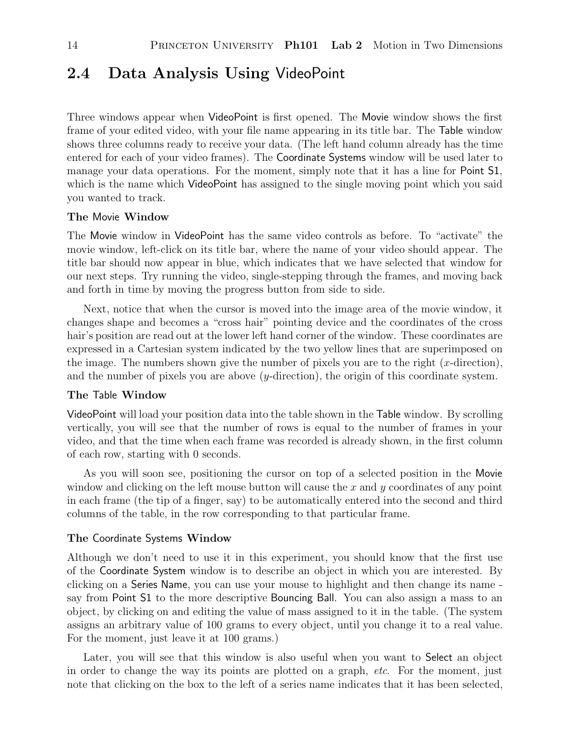## **2.4 Data Analysis Using** VideoPoint

Three windows appear when VideoPoint is first opened. The Movie window shows the first frame of your edited video, with your file name appearing in its title bar. The Table window shows three columns ready to receive your data. (The left hand column already has the time entered for each of your video frames). The Coordinate Systems window will be used later to manage your data operations. For the moment, simply note that it has a line for Point S1, which is the name which VideoPoint has assigned to the single moving point which you said you wanted to track.

#### **The** Movie **Window**

The Movie window in VideoPoint has the same video controls as before. To "activate" the movie window, left-click on its title bar, where the name of your video should appear. The title bar should now appear in blue, which indicates that we have selected that window for our next steps. Try running the video, single-stepping through the frames, and moving back and forth in time by moving the progress button from side to side.

Next, notice that when the cursor is moved into the image area of the movie window, it changes shape and becomes a "cross hair" pointing device and the coordinates of the cross hair's position are read out at the lower left hand corner of the window. These coordinates are expressed in a Cartesian system indicated by the two yellow lines that are superimposed on the image. The numbers shown give the number of pixels you are to the right  $(x\text{-direction})$ , and the number of pixels you are above (y-direction), the origin of this coordinate system.

#### **The** Table **Window**

VideoPoint will load your position data into the table shown in the Table window. By scrolling vertically, you will see that the number of rows is equal to the number of frames in your video, and that the time when each frame was recorded is already shown, in the first column of each row, starting with 0 seconds.

As you will soon see, positioning the cursor on top of a selected position in the Movie window and clicking on the left mouse button will cause the x and y coordinates of any point in each frame (the tip of a finger, say) to be automatically entered into the second and third columns of the table, in the row corresponding to that particular frame.

#### **The** Coordinate Systems **Window**

Although we don't need to use it in this experiment, you should know that the first use of the Coordinate System window is to describe an object in which you are interested. By clicking on a Series Name, you can use your mouse to highlight and then change its name say from Point S1 to the more descriptive Bouncing Ball. You can also assign a mass to an object, by clicking on and editing the value of mass assigned to it in the table. (The system assigns an arbitrary value of 100 grams to every object, until you change it to a real value. For the moment, just leave it at 100 grams.)

Later, you will see that this window is also useful when you want to Select an object in order to change the way its points are plotted on a graph, *etc*. For the moment, just note that clicking on the box to the left of a series name indicates that it has been selected,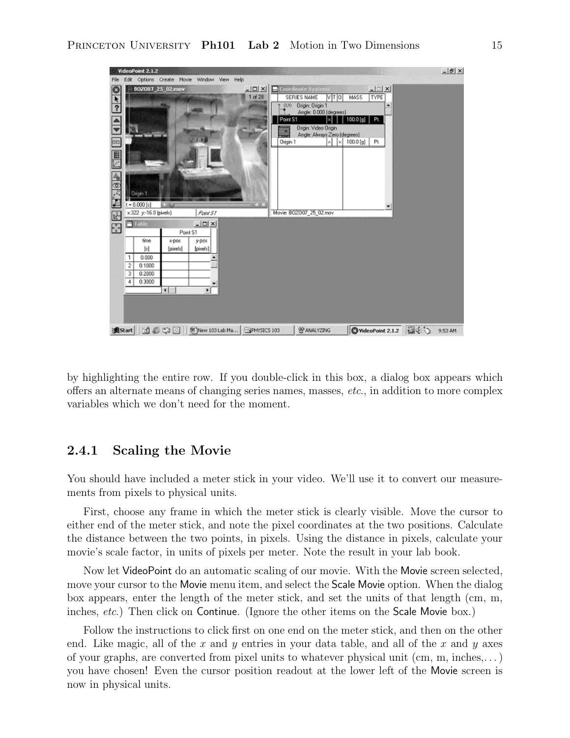

by highlighting the entire row. If you double-click in this box, a dialog box appears which offers an alternate means of changing series names, masses, *etc*., in addition to more complex variables which we don't need for the moment.

#### **2.4.1 Scaling the Movie**

You should have included a meter stick in your video. We'll use it to convert our measurements from pixels to physical units.

First, choose any frame in which the meter stick is clearly visible. Move the cursor to either end of the meter stick, and note the pixel coordinates at the two positions. Calculate the distance between the two points, in pixels. Using the distance in pixels, calculate your movie's scale factor, in units of pixels per meter. Note the result in your lab book.

Now let VideoPoint do an automatic scaling of our movie. With the Movie screen selected, move your cursor to the Movie menu item, and select the Scale Movie option. When the dialog box appears, enter the length of the meter stick, and set the units of that length (cm, m, inches, *etc*.) Then click on Continue. (Ignore the other items on the Scale Movie box.)

Follow the instructions to click first on one end on the meter stick, and then on the other end. Like magic, all of the x and y entries in your data table, and all of the x and y axes of your graphs, are converted from pixel units to whatever physical unit  $(cm, m, inches,...)$ you have chosen! Even the cursor position readout at the lower left of the Movie screen is now in physical units.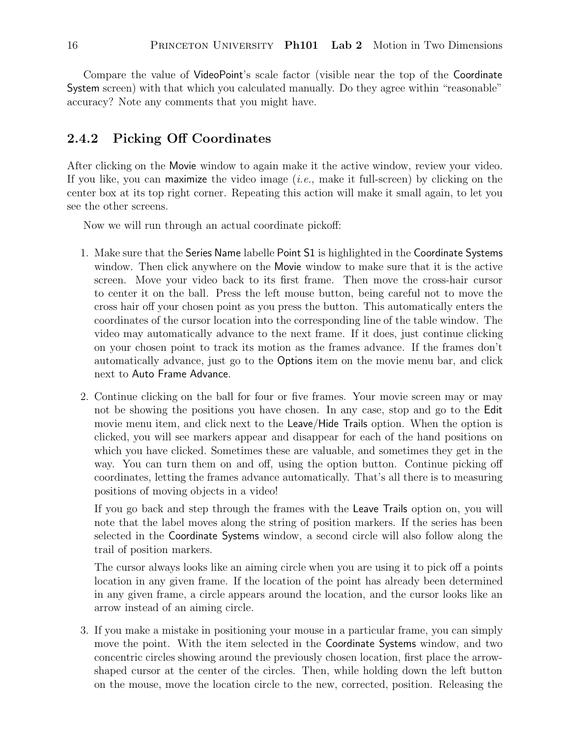Compare the value of VideoPoint's scale factor (visible near the top of the Coordinate System screen) with that which you calculated manually. Do they agree within "reasonable" accuracy? Note any comments that you might have.

#### **2.4.2 Picking Off Coordinates**

After clicking on the Movie window to again make it the active window, review your video. If you like, you can maximize the video image (*i.e.*, make it full-screen) by clicking on the center box at its top right corner. Repeating this action will make it small again, to let you see the other screens.

Now we will run through an actual coordinate pickoff:

- 1. Make sure that the Series Name labelle Point S1 is highlighted in the Coordinate Systems window. Then click anywhere on the Movie window to make sure that it is the active screen. Move your video back to its first frame. Then move the cross-hair cursor to center it on the ball. Press the left mouse button, being careful not to move the cross hair off your chosen point as you press the button. This automatically enters the coordinates of the cursor location into the corresponding line of the table window. The video may automatically advance to the next frame. If it does, just continue clicking on your chosen point to track its motion as the frames advance. If the frames don't automatically advance, just go to the Options item on the movie menu bar, and click next to Auto Frame Advance.
- 2. Continue clicking on the ball for four or five frames. Your movie screen may or may not be showing the positions you have chosen. In any case, stop and go to the Edit movie menu item, and click next to the Leave/Hide Trails option. When the option is clicked, you will see markers appear and disappear for each of the hand positions on which you have clicked. Sometimes these are valuable, and sometimes they get in the way. You can turn them on and off, using the option button. Continue picking off coordinates, letting the frames advance automatically. That's all there is to measuring positions of moving objects in a video!

If you go back and step through the frames with the Leave Trails option on, you will note that the label moves along the string of position markers. If the series has been selected in the Coordinate Systems window, a second circle will also follow along the trail of position markers.

The cursor always looks like an aiming circle when you are using it to pick off a points location in any given frame. If the location of the point has already been determined in any given frame, a circle appears around the location, and the cursor looks like an arrow instead of an aiming circle.

3. If you make a mistake in positioning your mouse in a particular frame, you can simply move the point. With the item selected in the Coordinate Systems window, and two concentric circles showing around the previously chosen location, first place the arrowshaped cursor at the center of the circles. Then, while holding down the left button on the mouse, move the location circle to the new, corrected, position. Releasing the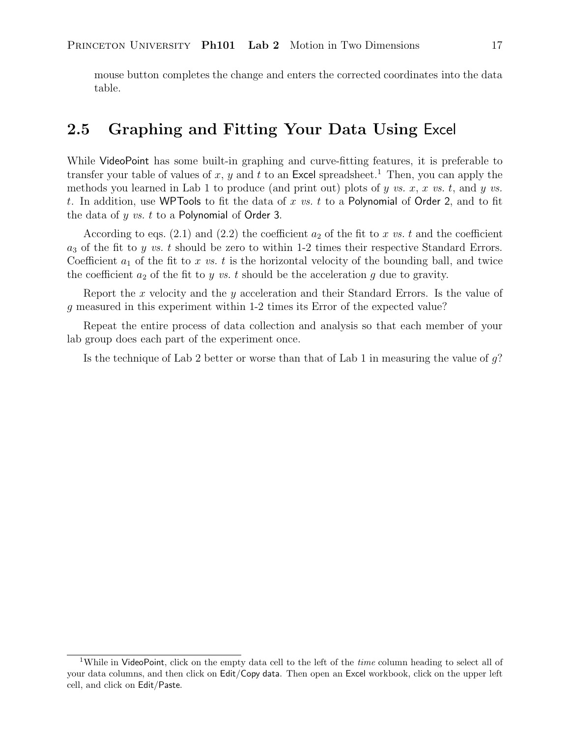mouse button completes the change and enters the corrected coordinates into the data table.

## **2.5 Graphing and Fitting Your Data Using** Excel

While VideoPoint has some built-in graphing and curve-fitting features, it is preferable to transfer your table of values of x, y and t to an Excel spreadsheet.<sup>1</sup> Then, you can apply the methods you learned in Lab 1 to produce (and print out) plots of  $y$  *vs.*  $x$ ,  $x$  *vs.*  $t$ , and  $y$  *vs.* t. In addition, use WPTools to fit the data of x *vs.* t to a Polynomial of Order 2, and to fit the data of y *vs.* t to a Polynomial of Order 3.

According to eqs.  $(2.1)$  and  $(2.2)$  the coefficient  $a_2$  of the fit to x *vs.* t and the coefficient  $a_3$  of the fit to y vs. t should be zero to within 1-2 times their respective Standard Errors. Coefficient  $a_1$  of the fit to x vs. t is the horizontal velocity of the bounding ball, and twice the coefficient  $a_2$  of the fit to y vs. t should be the acceleration g due to gravity.

Report the x velocity and the y acceleration and their Standard Errors. Is the value of g measured in this experiment within 1-2 times its Error of the expected value?

Repeat the entire process of data collection and analysis so that each member of your lab group does each part of the experiment once.

Is the technique of Lab 2 better or worse than that of Lab 1 in measuring the value of  $q$ ?

<sup>1</sup>While in VideoPoint, click on the empty data cell to the left of the *time* column heading to select all of your data columns, and then click on Edit/Copy data. Then open an Excel workbook, click on the upper left cell, and click on Edit/Paste.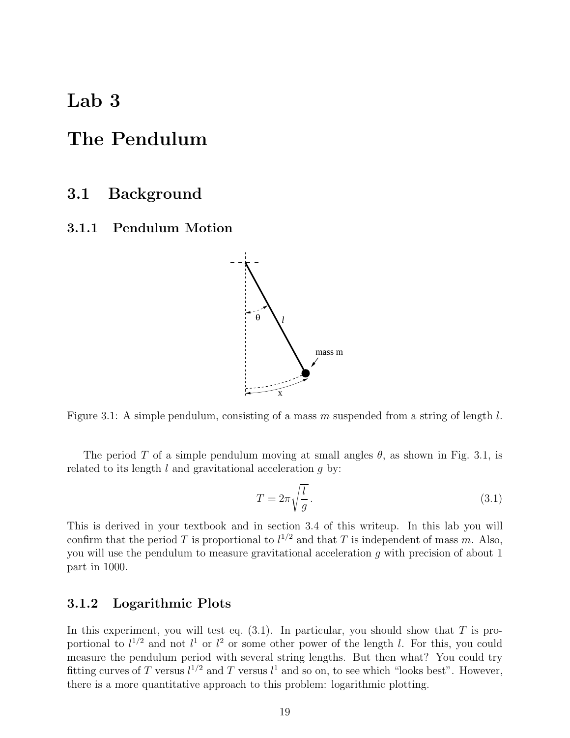## **Lab 3**

## **The Pendulum**

### **3.1 Background**

**3.1.1 Pendulum Motion**



Figure 3.1: A simple pendulum, consisting of a mass m suspended from a string of length  $l$ .

The period T of a simple pendulum moving at small angles  $\theta$ , as shown in Fig. 3.1, is related to its length  $l$  and gravitational acceleration  $q$  by:

$$
T = 2\pi \sqrt{\frac{l}{g}}.
$$
\n(3.1)

This is derived in your textbook and in section 3.4 of this writeup. In this lab you will confirm that the period T is proportional to  $l^{1/2}$  and that T is independent of mass m. Also, you will use the pendulum to measure gravitational acceleration g with precision of about 1 part in 1000.

#### **3.1.2 Logarithmic Plots**

In this experiment, you will test eq.  $(3.1)$ . In particular, you should show that T is proportional to  $l^{1/2}$  and not  $l^1$  or  $l^2$  or some other power of the length l. For this, you could measure the pendulum period with several string lengths. But then what? You could try fitting curves of T versus  $l^{1/2}$  and T versus  $l^1$  and so on, to see which "looks best". However, there is a more quantitative approach to this problem: logarithmic plotting.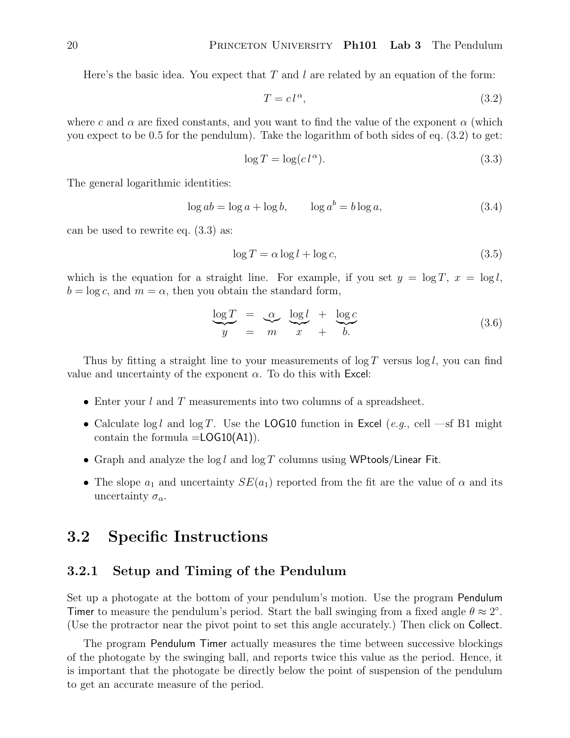Here's the basic idea. You expect that T and l are related by an equation of the form:

$$
T = c l^{\alpha},\tag{3.2}
$$

where c and  $\alpha$  are fixed constants, and you want to find the value of the exponent  $\alpha$  (which you expect to be 0.5 for the pendulum). Take the logarithm of both sides of eq. (3.2) to get:

$$
\log T = \log(c l^{\alpha}).\tag{3.3}
$$

The general logarithmic identities:

$$
\log ab = \log a + \log b, \qquad \log a^b = b \log a,\tag{3.4}
$$

can be used to rewrite eq. (3.3) as:

$$
\log T = \alpha \log l + \log c,\tag{3.5}
$$

which is the equation for a straight line. For example, if you set  $y = \log T$ ,  $x = \log l$ ,  $b = \log c$ , and  $m = \alpha$ , then you obtain the standard form,

$$
\frac{\log T}{y} = \frac{\alpha}{m} \frac{\log l}{x} + \frac{\log c}{b} \tag{3.6}
$$

Thus by fitting a straight line to your measurements of  $\log T$  versus  $\log l$ , you can find value and uncertainty of the exponent  $\alpha$ . To do this with Excel:

- Enter your  $l$  and  $T$  measurements into two columns of a spreadsheet.
- Calculate  $\log l$  and  $\log T$ . Use the LOG10 function in Excel (*e.g.*, cell —sf B1 might contain the formula  $=$  LOG10(A1).
- Graph and analyze the log l and log T columns using WPtools/Linear Fit.
- The slope  $a_1$  and uncertainty  $SE(a_1)$  reported from the fit are the value of  $\alpha$  and its uncertainty  $\sigma_{\alpha}$ .

### **3.2 Specific Instructions**

#### **3.2.1 Setup and Timing of the Pendulum**

Set up a photogate at the bottom of your pendulum's motion. Use the program Pendulum Timer to measure the pendulum's period. Start the ball swinging from a fixed angle  $\theta \approx 2^\circ$ . (Use the protractor near the pivot point to set this angle accurately.) Then click on Collect.

The program Pendulum Timer actually measures the time between successive blockings of the photogate by the swinging ball, and reports twice this value as the period. Hence, it is important that the photogate be directly below the point of suspension of the pendulum to get an accurate measure of the period.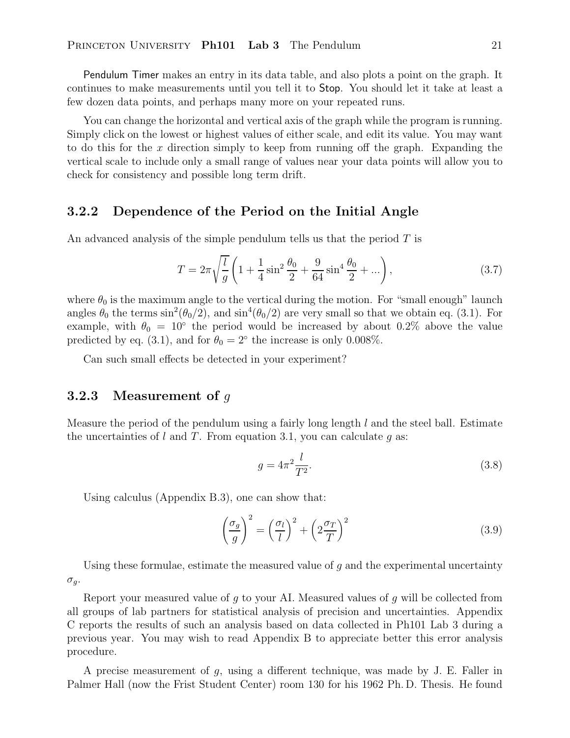Pendulum Timer makes an entry in its data table, and also plots a point on the graph. It continues to make measurements until you tell it to Stop. You should let it take at least a few dozen data points, and perhaps many more on your repeated runs.

You can change the horizontal and vertical axis of the graph while the program is running. Simply click on the lowest or highest values of either scale, and edit its value. You may want to do this for the x direction simply to keep from running off the graph. Expanding the vertical scale to include only a small range of values near your data points will allow you to check for consistency and possible long term drift.

#### **3.2.2 Dependence of the Period on the Initial Angle**

An advanced analysis of the simple pendulum tells us that the period T is

$$
T = 2\pi \sqrt{\frac{l}{g}} \left( 1 + \frac{1}{4} \sin^2 \frac{\theta_0}{2} + \frac{9}{64} \sin^4 \frac{\theta_0}{2} + \ldots \right),\tag{3.7}
$$

where  $\theta_0$  is the maximum angle to the vertical during the motion. For "small enough" launch angles  $\theta_0$  the terms  $\sin^2(\theta_0/2)$ , and  $\sin^4(\theta_0/2)$  are very small so that we obtain eq. (3.1). For example, with  $\theta_0 = 10^{\circ}$  the period would be increased by about 0.2% above the value predicted by eq. (3.1), and for  $\theta_0 = 2^\circ$  the increase is only 0.008%.

Can such small effects be detected in your experiment?

#### **3.2.3 Measurement of** g

Measure the period of the pendulum using a fairly long length  $l$  and the steel ball. Estimate the uncertainties of l and T. From equation 3.1, you can calculate q as:

$$
g = 4\pi^2 \frac{l}{T^2}.\tag{3.8}
$$

Using calculus (Appendix B.3), one can show that:

$$
\left(\frac{\sigma_g}{g}\right)^2 = \left(\frac{\sigma_l}{l}\right)^2 + \left(2\frac{\sigma_T}{T}\right)^2\tag{3.9}
$$

Using these formulae, estimate the measured value of  $g$  and the experimental uncertainty  $\sigma_g$ .

Report your measured value of g to your AI. Measured values of g will be collected from all groups of lab partners for statistical analysis of precision and uncertainties. Appendix C reports the results of such an analysis based on data collected in Ph101 Lab 3 during a previous year. You may wish to read Appendix B to appreciate better this error analysis procedure.

A precise measurement of  $g$ , using a different technique, was made by J. E. Faller in Palmer Hall (now the Frist Student Center) room 130 for his 1962 Ph. D. Thesis. He found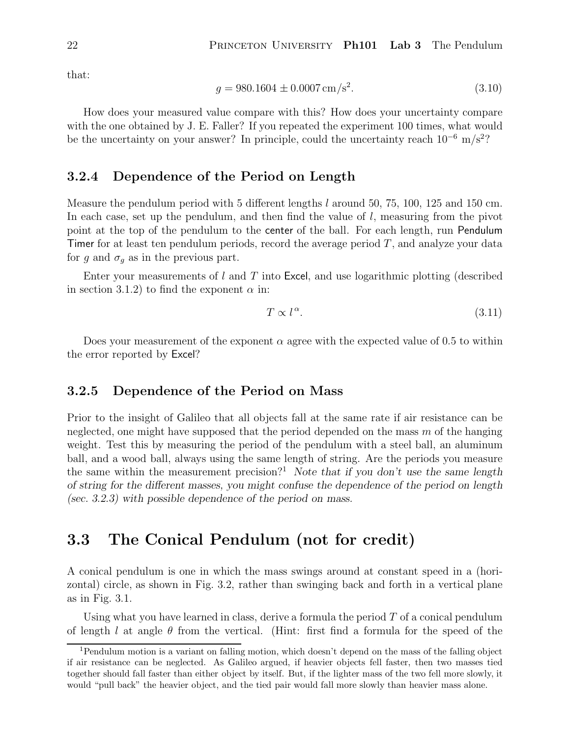that:

$$
g = 980.1604 \pm 0.0007 \,\mathrm{cm/s^2}.\tag{3.10}
$$

How does your measured value compare with this? How does your uncertainty compare with the one obtained by J. E. Faller? If you repeated the experiment 100 times, what would be the uncertainty on your answer? In principle, could the uncertainty reach  $10^{-6}$  m/s<sup>2</sup>?

#### **3.2.4 Dependence of the Period on Length**

Measure the pendulum period with 5 different lengths l around 50, 75, 100, 125 and 150 cm. In each case, set up the pendulum, and then find the value of  $l$ , measuring from the pivot point at the top of the pendulum to the center of the ball. For each length, run Pendulum Timer for at least ten pendulum periods, record the average period  $T$ , and analyze your data for g and  $\sigma_g$  as in the previous part.

Enter your measurements of  $l$  and  $T$  into Excel, and use logarithmic plotting (described in section 3.1.2) to find the exponent  $\alpha$  in:

$$
T \propto l^{\alpha}.\tag{3.11}
$$

Does your measurement of the exponent  $\alpha$  agree with the expected value of 0.5 to within the error reported by Excel?

#### **3.2.5 Dependence of the Period on Mass**

Prior to the insight of Galileo that all objects fall at the same rate if air resistance can be neglected, one might have supposed that the period depended on the mass  $m$  of the hanging weight. Test this by measuring the period of the pendulum with a steel ball, an aluminum ball, and a wood ball, always using the same length of string. Are the periods you measure the same within the measurement precision?<sup>1</sup> *Note that if you don't use the same length of string for the different masses, you might confuse the dependence of the period on length (sec. 3.2.3) with possible dependence of the period on mass.*

## **3.3 The Conical Pendulum (not for credit)**

A conical pendulum is one in which the mass swings around at constant speed in a (horizontal) circle, as shown in Fig. 3.2, rather than swinging back and forth in a vertical plane as in Fig. 3.1.

Using what you have learned in class, derive a formula the period  $T$  of a conical pendulum of length l at angle  $\theta$  from the vertical. (Hint: first find a formula for the speed of the

<sup>1</sup>Pendulum motion is a variant on falling motion, which doesn't depend on the mass of the falling object if air resistance can be neglected. As Galileo argued, if heavier objects fell faster, then two masses tied together should fall faster than either object by itself. But, if the lighter mass of the two fell more slowly, it would "pull back" the heavier object, and the tied pair would fall more slowly than heavier mass alone.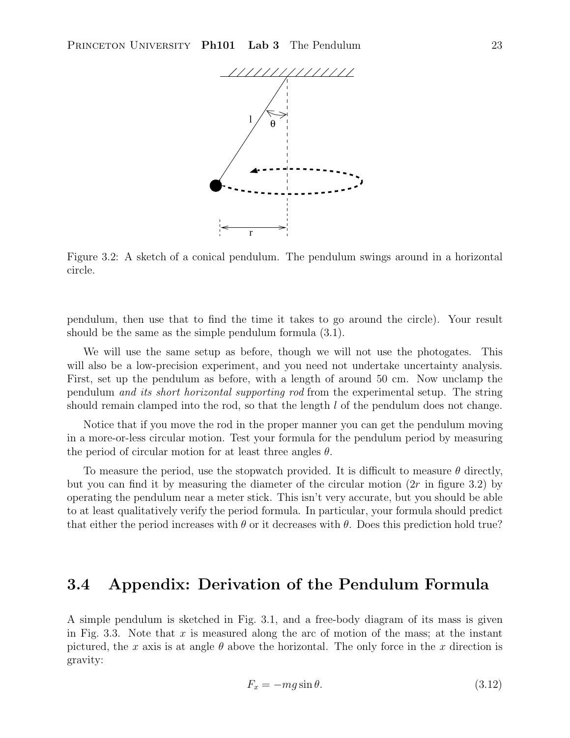

Figure 3.2: A sketch of a conical pendulum. The pendulum swings around in a horizontal circle.

pendulum, then use that to find the time it takes to go around the circle). Your result should be the same as the simple pendulum formula (3.1).

We will use the same setup as before, though we will not use the photogates. This will also be a low-precision experiment, and you need not undertake uncertainty analysis. First, set up the pendulum as before, with a length of around 50 cm. Now unclamp the pendulum *and its short horizontal supporting rod* from the experimental setup. The string should remain clamped into the rod, so that the length  $l$  of the pendulum does not change.

Notice that if you move the rod in the proper manner you can get the pendulum moving in a more-or-less circular motion. Test your formula for the pendulum period by measuring the period of circular motion for at least three angles  $\theta$ .

To measure the period, use the stopwatch provided. It is difficult to measure  $\theta$  directly, but you can find it by measuring the diameter of the circular motion  $(2r$  in figure 3.2) by operating the pendulum near a meter stick. This isn't very accurate, but you should be able to at least qualitatively verify the period formula. In particular, your formula should predict that either the period increases with  $\theta$  or it decreases with  $\theta$ . Does this prediction hold true?

### **3.4 Appendix: Derivation of the Pendulum Formula**

A simple pendulum is sketched in Fig. 3.1, and a free-body diagram of its mass is given in Fig. 3.3. Note that x is measured along the arc of motion of the mass; at the instant pictured, the x axis is at angle  $\theta$  above the horizontal. The only force in the x direction is gravity:

$$
F_x = -mg\sin\theta.\tag{3.12}
$$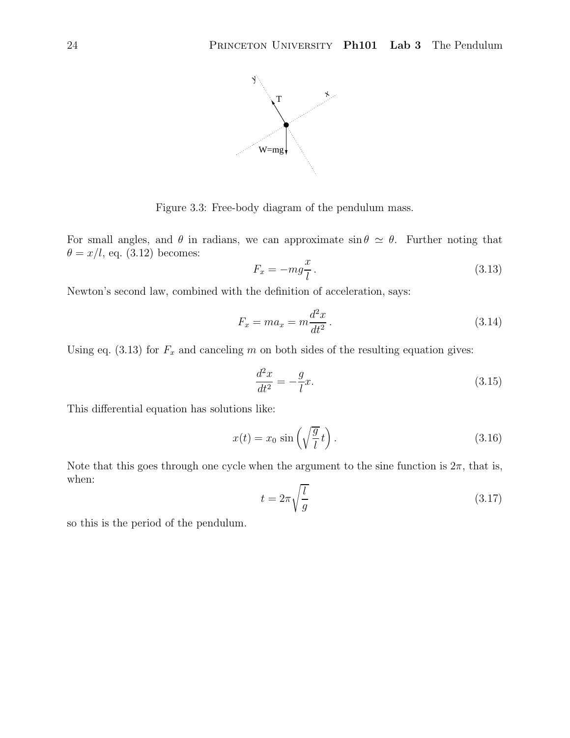

Figure 3.3: Free-body diagram of the pendulum mass.

For small angles, and  $\theta$  in radians, we can approximate  $\sin \theta \simeq \theta$ . Further noting that  $\theta = x/l$ , eq. (3.12) becomes:

$$
F_x = -mg\frac{x}{l}.
$$
\n(3.13)

Newton's second law, combined with the definition of acceleration, says:

$$
F_x = ma_x = m\frac{d^2x}{dt^2}.
$$
\n(3.14)

Using eq. (3.13) for  $F_x$  and canceling m on both sides of the resulting equation gives:

$$
\frac{d^2x}{dt^2} = -\frac{g}{l}x.\tag{3.15}
$$

This differential equation has solutions like:

$$
x(t) = x_0 \sin\left(\sqrt{\frac{g}{l}}t\right). \tag{3.16}
$$

Note that this goes through one cycle when the argument to the sine function is  $2\pi$ , that is, when:

$$
t = 2\pi \sqrt{\frac{l}{g}}\tag{3.17}
$$

so this is the period of the pendulum.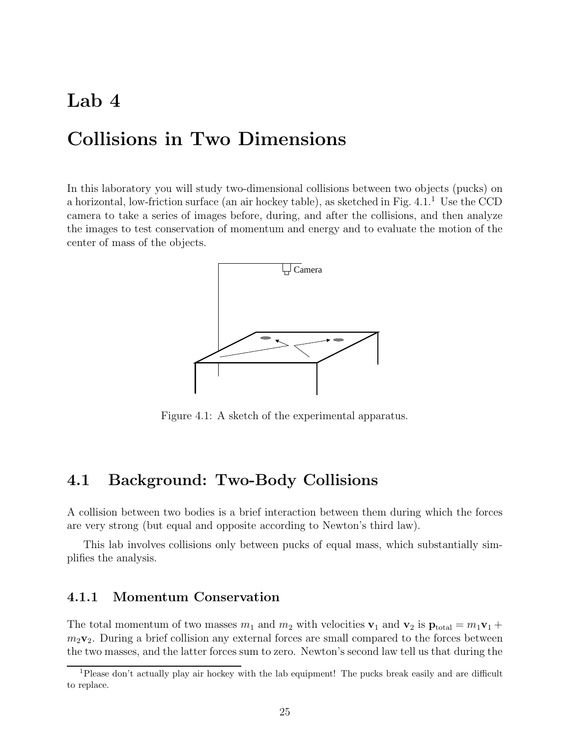## **Lab 4**

## **Collisions in Two Dimensions**

In this laboratory you will study two-dimensional collisions between two objects (pucks) on a horizontal, low-friction surface (an air hockey table), as sketched in Fig. 4.1.<sup>1</sup> Use the CCD camera to take a series of images before, during, and after the collisions, and then analyze the images to test conservation of momentum and energy and to evaluate the motion of the center of mass of the objects.



Figure 4.1: A sketch of the experimental apparatus.

## **4.1 Background: Two-Body Collisions**

A collision between two bodies is a brief interaction between them during which the forces are very strong (but equal and opposite according to Newton's third law).

This lab involves collisions only between pucks of equal mass, which substantially simplifies the analysis.

#### **4.1.1 Momentum Conservation**

The total momentum of two masses  $m_1$  and  $m_2$  with velocities  $\mathbf{v}_1$  and  $\mathbf{v}_2$  is  $\mathbf{p}_{total} = m_1 \mathbf{v}_1 +$  $m_2$ **v**<sub>2</sub>. During a brief collision any external forces are small compared to the forces between the two masses, and the latter forces sum to zero. Newton's second law tell us that during the

<sup>1</sup>Please don't actually play air hockey with the lab equipment! The pucks break easily and are difficult to replace.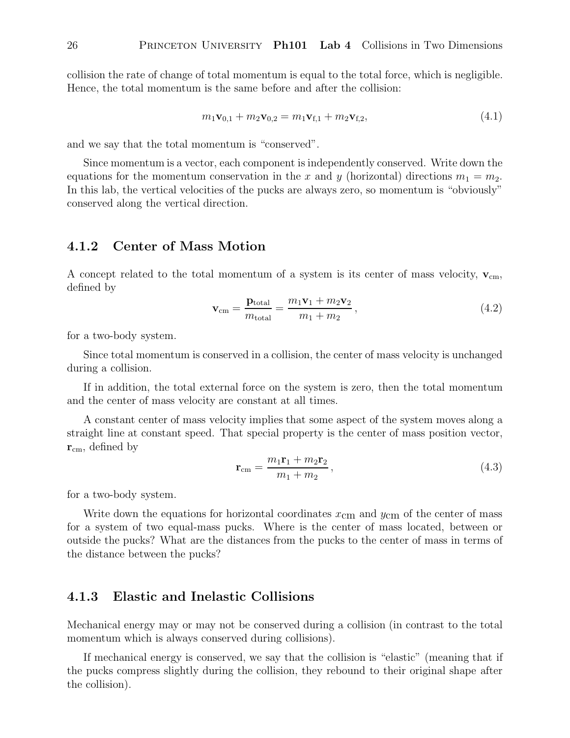collision the rate of change of total momentum is equal to the total force, which is negligible. Hence, the total momentum is the same before and after the collision:

$$
m_1 \mathbf{v}_{0,1} + m_2 \mathbf{v}_{0,2} = m_1 \mathbf{v}_{\mathbf{f},1} + m_2 \mathbf{v}_{\mathbf{f},2},
$$
\n(4.1)

and we say that the total momentum is "conserved".

Since momentum is a vector, each component is independently conserved. Write down the equations for the momentum conservation in the x and y (horizontal) directions  $m_1 = m_2$ . In this lab, the vertical velocities of the pucks are always zero, so momentum is "obviously" conserved along the vertical direction.

#### **4.1.2 Center of Mass Motion**

A concept related to the total momentum of a system is its center of mass velocity,  $\mathbf{v}_{cm}$ , defined by

$$
\mathbf{v}_{\rm cm} = \frac{\mathbf{p}_{\rm total}}{m_{\rm total}} = \frac{m_1 \mathbf{v}_1 + m_2 \mathbf{v}_2}{m_1 + m_2},
$$
\n(4.2)

for a two-body system.

Since total momentum is conserved in a collision, the center of mass velocity is unchanged during a collision.

If in addition, the total external force on the system is zero, then the total momentum and the center of mass velocity are constant at all times.

A constant center of mass velocity implies that some aspect of the system moves along a straight line at constant speed. That special property is the center of mass position vector,  $\mathbf{r}_{cm}$ , defined by

$$
\mathbf{r}_{\rm cm} = \frac{m_1 \mathbf{r}_1 + m_2 \mathbf{r}_2}{m_1 + m_2},\tag{4.3}
$$

for a two-body system.

Write down the equations for horizontal coordinates  $x_{\text{cm}}$  and  $y_{\text{cm}}$  of the center of mass for a system of two equal-mass pucks. Where is the center of mass located, between or outside the pucks? What are the distances from the pucks to the center of mass in terms of the distance between the pucks?

#### **4.1.3 Elastic and Inelastic Collisions**

Mechanical energy may or may not be conserved during a collision (in contrast to the total momentum which is always conserved during collisions).

If mechanical energy is conserved, we say that the collision is "elastic" (meaning that if the pucks compress slightly during the collision, they rebound to their original shape after the collision).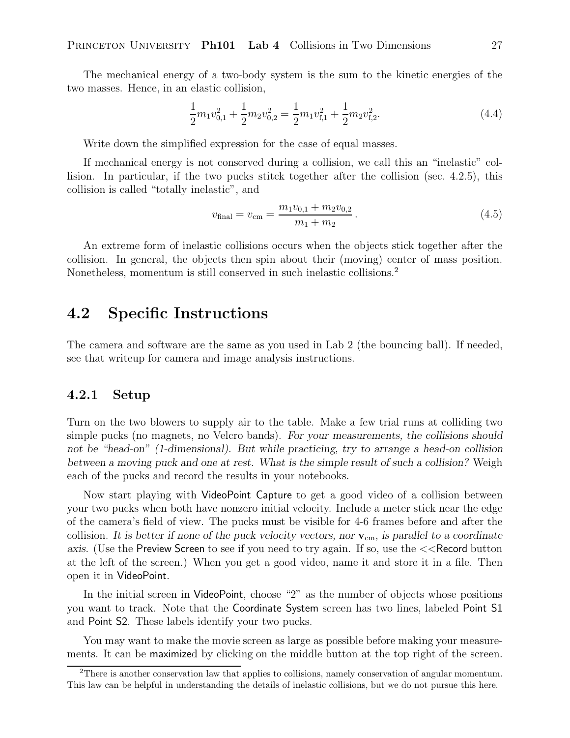The mechanical energy of a two-body system is the sum to the kinetic energies of the two masses. Hence, in an elastic collision,

$$
\frac{1}{2}m_1v_{0,1}^2 + \frac{1}{2}m_2v_{0,2}^2 = \frac{1}{2}m_1v_{\text{f},1}^2 + \frac{1}{2}m_2v_{\text{f},2}^2.
$$
\n(4.4)

Write down the simplified expression for the case of equal masses.

If mechanical energy is not conserved during a collision, we call this an "inelastic" collision. In particular, if the two pucks stitck together after the collision (sec. 4.2.5), this collision is called "totally inelastic", and

$$
v_{\text{final}} = v_{\text{cm}} = \frac{m_1 v_{0,1} + m_2 v_{0,2}}{m_1 + m_2} \,. \tag{4.5}
$$

An extreme form of inelastic collisions occurs when the objects stick together after the collision. In general, the objects then spin about their (moving) center of mass position. Nonetheless, momentum is still conserved in such inelastic collisions.<sup>2</sup>

### **4.2 Specific Instructions**

The camera and software are the same as you used in Lab 2 (the bouncing ball). If needed, see that writeup for camera and image analysis instructions.

#### **4.2.1 Setup**

Turn on the two blowers to supply air to the table. Make a few trial runs at colliding two simple pucks (no magnets, no Velcro bands). *For your measurements, the collisions should not be "head-on" (1-dimensional). But while practicing, try to arrange a head-on collision between a moving puck and one at rest. What is the simple result of such a collision?* Weigh each of the pucks and record the results in your notebooks.

Now start playing with VideoPoint Capture to get a good video of a collision between your two pucks when both have nonzero initial velocity. Include a meter stick near the edge of the camera's field of view. The pucks must be visible for 4-6 frames before and after the collision. *It is better if none of the puck velocity vectors, nor* **v**cm*, is parallel to a coordinate axis.* (Use the Preview Screen to see if you need to try again. If so, use the  $\lt$  Record button at the left of the screen.) When you get a good video, name it and store it in a file. Then open it in VideoPoint.

In the initial screen in VideoPoint, choose "2" as the number of objects whose positions you want to track. Note that the Coordinate System screen has two lines, labeled Point S1 and Point S2. These labels identify your two pucks.

You may want to make the movie screen as large as possible before making your measurements. It can be maximized by clicking on the middle button at the top right of the screen.

<sup>2</sup>There is another conservation law that applies to collisions, namely conservation of angular momentum. This law can be helpful in understanding the details of inelastic collisions, but we do not pursue this here.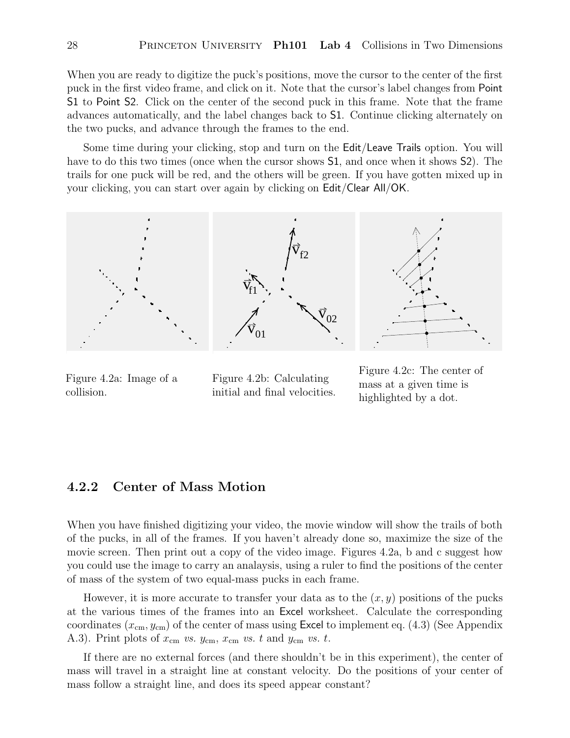When you are ready to digitize the puck's positions, move the cursor to the center of the first puck in the first video frame, and click on it. Note that the cursor's label changes from Point S1 to Point S2. Click on the center of the second puck in this frame. Note that the frame advances automatically, and the label changes back to S1. Continue clicking alternately on the two pucks, and advance through the frames to the end.

Some time during your clicking, stop and turn on the **Edit/Leave Trails** option. You will have to do this two times (once when the cursor shows S1, and once when it shows S2). The trails for one puck will be red, and the others will be green. If you have gotten mixed up in your clicking, you can start over again by clicking on Edit/Clear All/OK.



Figure 4.2a: Image of a collision.

Figure 4.2b: Calculating initial and final velocities.

Figure 4.2c: The center of mass at a given time is highlighted by a dot.

#### **4.2.2 Center of Mass Motion**

When you have finished digitizing your video, the movie window will show the trails of both of the pucks, in all of the frames. If you haven't already done so, maximize the size of the movie screen. Then print out a copy of the video image. Figures 4.2a, b and c suggest how you could use the image to carry an analaysis, using a ruler to find the positions of the center of mass of the system of two equal-mass pucks in each frame.

However, it is more accurate to transfer your data as to the  $(x, y)$  positions of the pucks at the various times of the frames into an Excel worksheet. Calculate the corresponding coordinates  $(x_{cm}, y_{cm})$  of the center of mass using Excel to implement eq. (4.3) (See Appendix A.3). Print plots of  $x_{\text{cm}}$   $vs.$   $y_{\text{cm}}$ ,  $x_{\text{cm}}$   $vs.$   $t$  and  $y_{\text{cm}}$   $vs.$   $t$ .

If there are no external forces (and there shouldn't be in this experiment), the center of mass will travel in a straight line at constant velocity. Do the positions of your center of mass follow a straight line, and does its speed appear constant?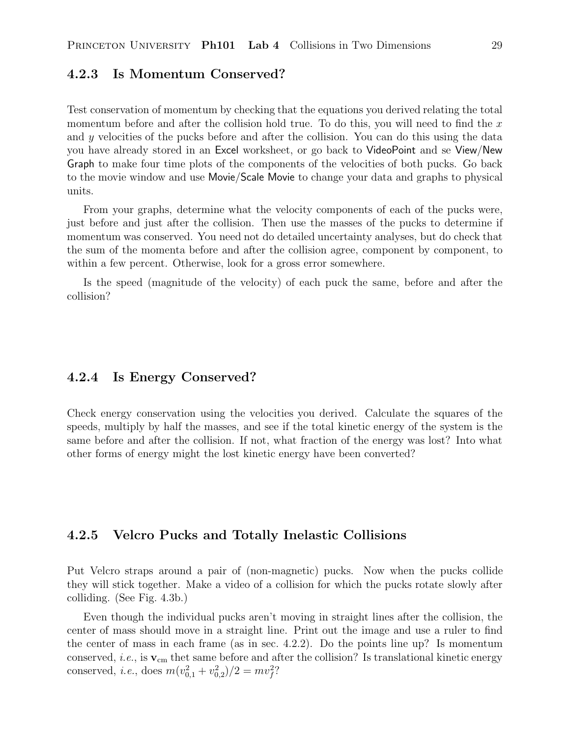#### **4.2.3 Is Momentum Conserved?**

Test conservation of momentum by checking that the equations you derived relating the total momentum before and after the collision hold true. To do this, you will need to find the  $x$ and y velocities of the pucks before and after the collision. You can do this using the data you have already stored in an Excel worksheet, or go back to VideoPoint and se View/New Graph to make four time plots of the components of the velocities of both pucks. Go back to the movie window and use Movie/Scale Movie to change your data and graphs to physical units.

From your graphs, determine what the velocity components of each of the pucks were, just before and just after the collision. Then use the masses of the pucks to determine if momentum was conserved. You need not do detailed uncertainty analyses, but do check that the sum of the momenta before and after the collision agree, component by component, to within a few percent. Otherwise, look for a gross error somewhere.

Is the speed (magnitude of the velocity) of each puck the same, before and after the collision?

#### **4.2.4 Is Energy Conserved?**

Check energy conservation using the velocities you derived. Calculate the squares of the speeds, multiply by half the masses, and see if the total kinetic energy of the system is the same before and after the collision. If not, what fraction of the energy was lost? Into what other forms of energy might the lost kinetic energy have been converted?

#### **4.2.5 Velcro Pucks and Totally Inelastic Collisions**

Put Velcro straps around a pair of (non-magnetic) pucks. Now when the pucks collide they will stick together. Make a video of a collision for which the pucks rotate slowly after colliding. (See Fig. 4.3b.)

Even though the individual pucks aren't moving in straight lines after the collision, the center of mass should move in a straight line. Print out the image and use a ruler to find the center of mass in each frame (as in sec. 4.2.2). Do the points line up? Is momentum conserved, *i.e.*, is  $\mathbf{v}_{cm}$  thet same before and after the collision? Is translational kinetic energy conserved, *i.e.*, does  $m(v_{0,1}^2 + v_{0,2}^2)/2 = mv_f^2$ ?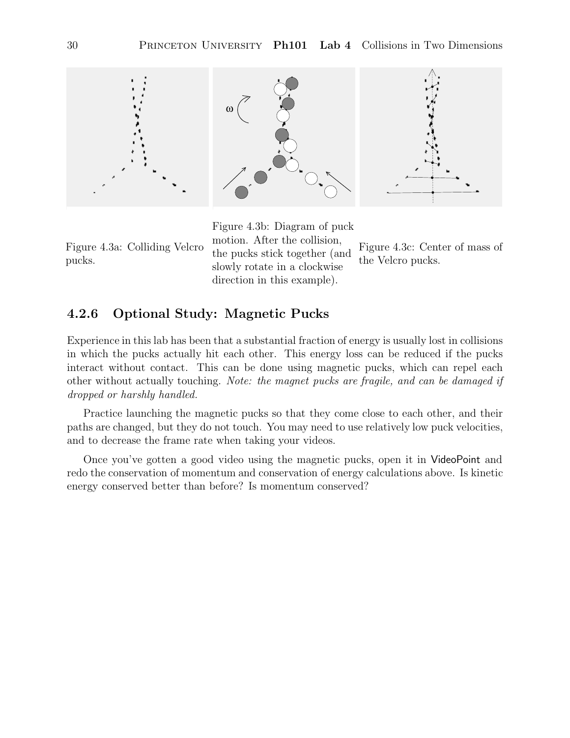

Figure 4.3a: Colliding Velcro pucks.

Figure 4.3b: Diagram of puck motion. After the collision, the pucks stick together (and slowly rotate in a clockwise direction in this example).

Figure 4.3c: Center of mass of the Velcro pucks.

### **4.2.6 Optional Study: Magnetic Pucks**

Experience in this lab has been that a substantial fraction of energy is usually lost in collisions in which the pucks actually hit each other. This energy loss can be reduced if the pucks interact without contact. This can be done using magnetic pucks, which can repel each other without actually touching. *Note: the magnet pucks are fragile, and can be damaged if dropped or harshly handled.*

Practice launching the magnetic pucks so that they come close to each other, and their paths are changed, but they do not touch. You may need to use relatively low puck velocities, and to decrease the frame rate when taking your videos.

Once you've gotten a good video using the magnetic pucks, open it in VideoPoint and redo the conservation of momentum and conservation of energy calculations above. Is kinetic energy conserved better than before? Is momentum conserved?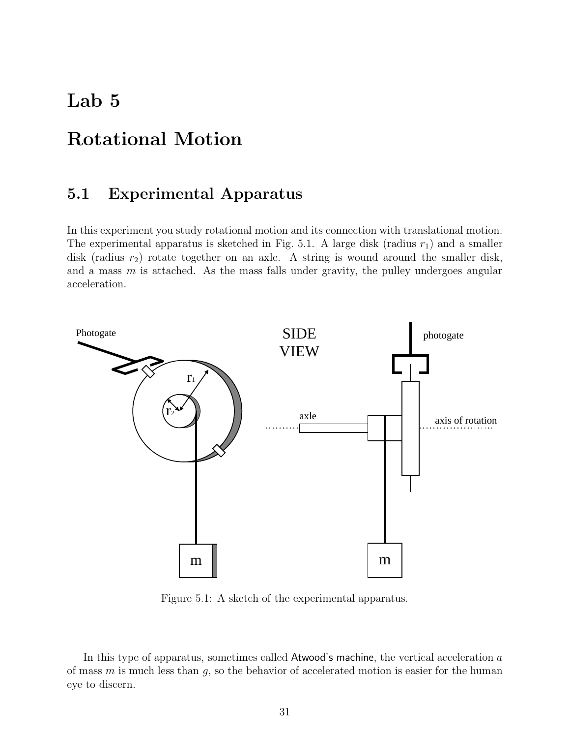## **Lab 5**

## **Rotational Motion**

## **5.1 Experimental Apparatus**

In this experiment you study rotational motion and its connection with translational motion. The experimental apparatus is sketched in Fig. 5.1. A large disk (radius  $r_1$ ) and a smaller disk (radius  $r_2$ ) rotate together on an axle. A string is wound around the smaller disk, and a mass  $m$  is attached. As the mass falls under gravity, the pulley undergoes angular acceleration.



Figure 5.1: A sketch of the experimental apparatus.

In this type of apparatus, sometimes called Atwood's machine, the vertical acceleration  $a$ of mass  $m$  is much less than  $g$ , so the behavior of accelerated motion is easier for the human eye to discern.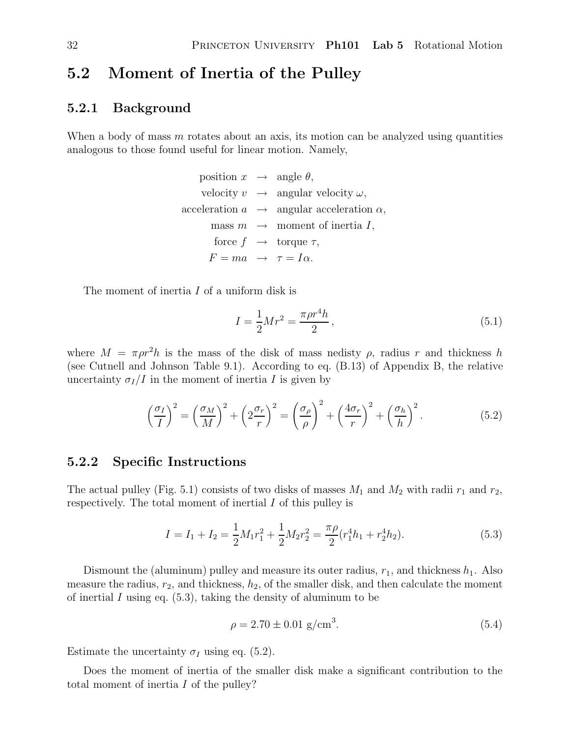## **5.2 Moment of Inertia of the Pulley**

#### **5.2.1 Background**

When a body of mass  $m$  rotates about an axis, its motion can be analyzed using quantities analogous to those found useful for linear motion. Namely,

> position  $x \rightarrow \text{angle } \theta$ , velocity  $v \rightarrow \text{angular velocity } \omega$ , acceleration  $a \rightarrow \text{angular acceleration } \alpha$ , mass  $m \rightarrow$  moment of inertia I, force  $f \rightarrow$  torque  $\tau$ ,  $F = ma \rightarrow \tau = I\alpha.$

The moment of inertia I of a uniform disk is

$$
I = \frac{1}{2}Mr^2 = \frac{\pi \rho r^4 h}{2},\tag{5.1}
$$

where  $M = \pi \rho r^2 h$  is the mass of the disk of mass nedisty  $\rho$ , radius r and thickness h (see Cutnell and Johnson Table 9.1). According to eq. (B.13) of Appendix B, the relative uncertainty  $\sigma_I/I$  in the moment of inertia I is given by

$$
\left(\frac{\sigma_I}{I}\right)^2 = \left(\frac{\sigma_M}{M}\right)^2 + \left(2\frac{\sigma_r}{r}\right)^2 = \left(\frac{\sigma_\rho}{\rho}\right)^2 + \left(\frac{4\sigma_r}{r}\right)^2 + \left(\frac{\sigma_h}{h}\right)^2.
$$
\n(5.2)

#### **5.2.2 Specific Instructions**

The actual pulley (Fig. 5.1) consists of two disks of masses  $M_1$  and  $M_2$  with radii  $r_1$  and  $r_2$ , respectively. The total moment of inertial I of this pulley is

$$
I = I_1 + I_2 = \frac{1}{2}M_1r_1^2 + \frac{1}{2}M_2r_2^2 = \frac{\pi \rho}{2}(r_1^4h_1 + r_2^4h_2).
$$
 (5.3)

Dismount the (aluminum) pulley and measure its outer radius,  $r_1$ , and thickness  $h_1$ . Also measure the radius,  $r_2$ , and thickness,  $h_2$ , of the smaller disk, and then calculate the moment of inertial I using eq.  $(5.3)$ , taking the density of aluminum to be

$$
\rho = 2.70 \pm 0.01 \text{ g/cm}^3. \tag{5.4}
$$

Estimate the uncertainty  $\sigma_I$  using eq. (5.2).

Does the moment of inertia of the smaller disk make a significant contribution to the total moment of inertia I of the pulley?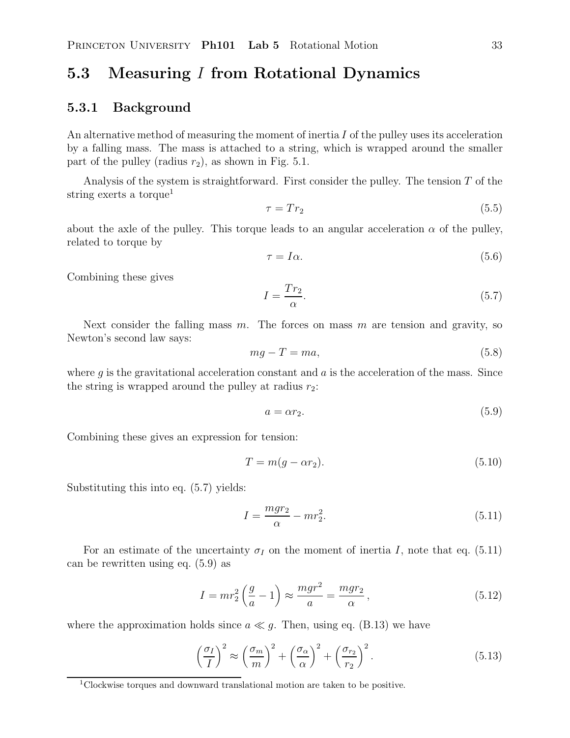# **5.3 Measuring** I **from Rotational Dynamics**

#### **5.3.1 Background**

An alternative method of measuring the moment of inertia  $I$  of the pulley uses its acceleration by a falling mass. The mass is attached to a string, which is wrapped around the smaller part of the pulley (radius  $r_2$ ), as shown in Fig. 5.1.

Analysis of the system is straightforward. First consider the pulley. The tension  $T$  of the string exerts a torque<sup>1</sup>

$$
\tau = Tr_2 \tag{5.5}
$$

about the axle of the pulley. This torque leads to an angular acceleration  $\alpha$  of the pulley, related to torque by

$$
\tau = I\alpha. \tag{5.6}
$$

Combining these gives

$$
I = \frac{Tr_2}{\alpha}.\tag{5.7}
$$

Next consider the falling mass  $m$ . The forces on mass  $m$  are tension and gravity, so Newton's second law says:

$$
mg - T = ma,\tag{5.8}
$$

where  $q$  is the gravitational acceleration constant and  $q$  is the acceleration of the mass. Since the string is wrapped around the pulley at radius  $r_2$ :

$$
a = \alpha r_2. \tag{5.9}
$$

Combining these gives an expression for tension:

$$
T = m(g - \alpha r_2). \tag{5.10}
$$

Substituting this into eq. (5.7) yields:

$$
I = \frac{mgr_2}{\alpha} - mr_2^2.
$$
\n
$$
(5.11)
$$

For an estimate of the uncertainty  $\sigma_I$  on the moment of inertia I, note that eq. (5.11) can be rewritten using eq. (5.9) as

$$
I = mr_2^2 \left(\frac{g}{a} - 1\right) \approx \frac{mgr^2}{a} = \frac{mgr_2}{\alpha},\tag{5.12}
$$

where the approximation holds since  $a \ll g$ . Then, using eq. (B.13) we have

$$
\left(\frac{\sigma_I}{I}\right)^2 \approx \left(\frac{\sigma_m}{m}\right)^2 + \left(\frac{\sigma_\alpha}{\alpha}\right)^2 + \left(\frac{\sigma_{r_2}}{r_2}\right)^2.
$$
\n(5.13)

<sup>1</sup>Clockwise torques and downward translational motion are taken to be positive.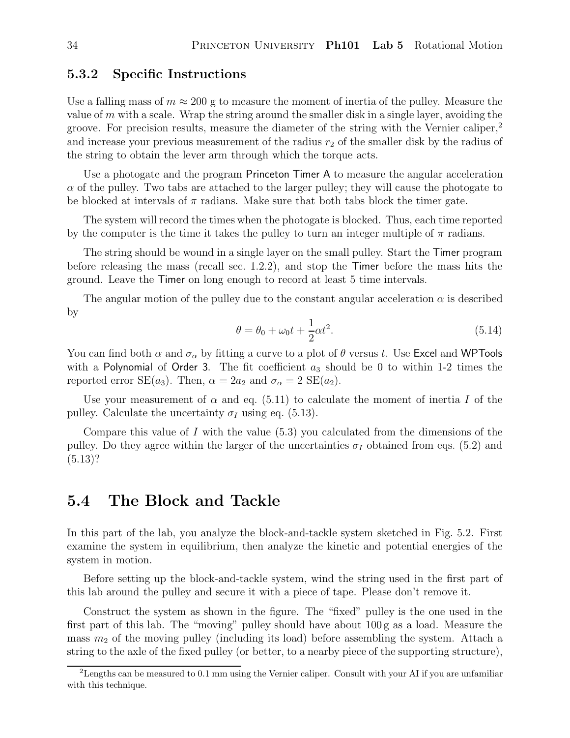#### **5.3.2 Specific Instructions**

Use a falling mass of  $m \approx 200$  g to measure the moment of inertia of the pulley. Measure the value of  $m$  with a scale. Wrap the string around the smaller disk in a single layer, avoiding the groove. For precision results, measure the diameter of the string with the Vernier caliper,<sup>2</sup> and increase your previous measurement of the radius  $r_2$  of the smaller disk by the radius of the string to obtain the lever arm through which the torque acts.

Use a photogate and the program Princeton Timer A to measure the angular acceleration  $\alpha$  of the pulley. Two tabs are attached to the larger pulley; they will cause the photogate to be blocked at intervals of  $\pi$  radians. Make sure that both tabs block the timer gate.

The system will record the times when the photogate is blocked. Thus, each time reported by the computer is the time it takes the pulley to turn an integer multiple of  $\pi$  radians.

The string should be wound in a single layer on the small pulley. Start the Timer program before releasing the mass (recall sec. 1.2.2), and stop the Timer before the mass hits the ground. Leave the Timer on long enough to record at least 5 time intervals.

The angular motion of the pulley due to the constant angular acceleration  $\alpha$  is described by

$$
\theta = \theta_0 + \omega_0 t + \frac{1}{2} \alpha t^2. \tag{5.14}
$$

You can find both  $\alpha$  and  $\sigma_{\alpha}$  by fitting a curve to a plot of  $\theta$  versus t. Use Excel and WPTools with a Polynomial of Order 3. The fit coefficient  $a_3$  should be 0 to within 1-2 times the reported error SE(a<sub>3</sub>). Then,  $\alpha = 2a_2$  and  $\sigma_{\alpha} = 2 \text{ SE}(a_2)$ .

Use your measurement of  $\alpha$  and eq. (5.11) to calculate the moment of inertia I of the pulley. Calculate the uncertainty  $\sigma_I$  using eq. (5.13).

Compare this value of I with the value  $(5.3)$  you calculated from the dimensions of the pulley. Do they agree within the larger of the uncertainties  $\sigma_I$  obtained from eqs. (5.2) and  $(5.13)$ ?

### **5.4 The Block and Tackle**

In this part of the lab, you analyze the block-and-tackle system sketched in Fig. 5.2. First examine the system in equilibrium, then analyze the kinetic and potential energies of the system in motion.

Before setting up the block-and-tackle system, wind the string used in the first part of this lab around the pulley and secure it with a piece of tape. Please don't remove it.

Construct the system as shown in the figure. The "fixed" pulley is the one used in the first part of this lab. The "moving" pulley should have about 100 g as a load. Measure the mass  $m_2$  of the moving pulley (including its load) before assembling the system. Attach a string to the axle of the fixed pulley (or better, to a nearby piece of the supporting structure),

<sup>&</sup>lt;sup>2</sup>Lengths can be measured to 0.1 mm using the Vernier caliper. Consult with your AI if you are unfamiliar with this technique.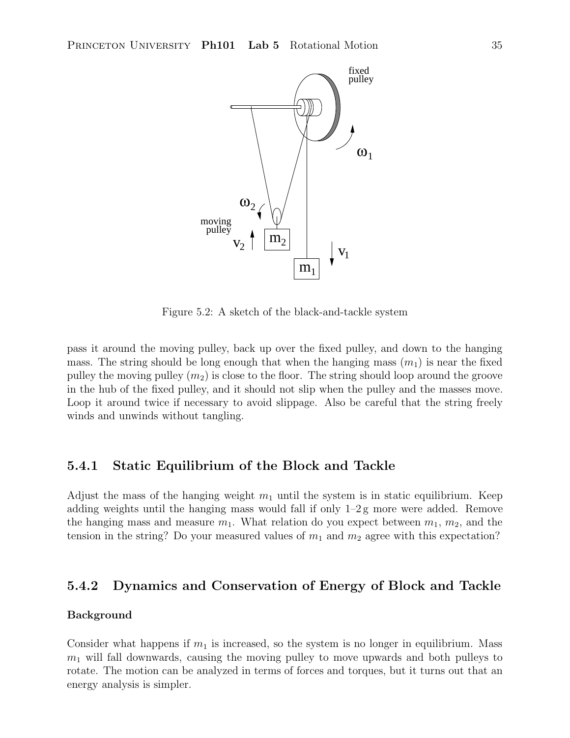

Figure 5.2: A sketch of the black-and-tackle system

pass it around the moving pulley, back up over the fixed pulley, and down to the hanging mass. The string should be long enough that when the hanging mass  $(m_1)$  is near the fixed pulley the moving pulley  $(m_2)$  is close to the floor. The string should loop around the groove in the hub of the fixed pulley, and it should not slip when the pulley and the masses move. Loop it around twice if necessary to avoid slippage. Also be careful that the string freely winds and unwinds without tangling.

#### **5.4.1 Static Equilibrium of the Block and Tackle**

Adjust the mass of the hanging weight  $m_1$  until the system is in static equilibrium. Keep adding weights until the hanging mass would fall if only  $1-2$  g more were added. Remove the hanging mass and measure  $m_1$ . What relation do you expect between  $m_1$ ,  $m_2$ , and the tension in the string? Do your measured values of  $m_1$  and  $m_2$  agree with this expectation?

#### **5.4.2 Dynamics and Conservation of Energy of Block and Tackle**

#### **Background**

Consider what happens if  $m_1$  is increased, so the system is no longer in equilibrium. Mass  $m_1$  will fall downwards, causing the moving pulley to move upwards and both pulleys to rotate. The motion can be analyzed in terms of forces and torques, but it turns out that an energy analysis is simpler.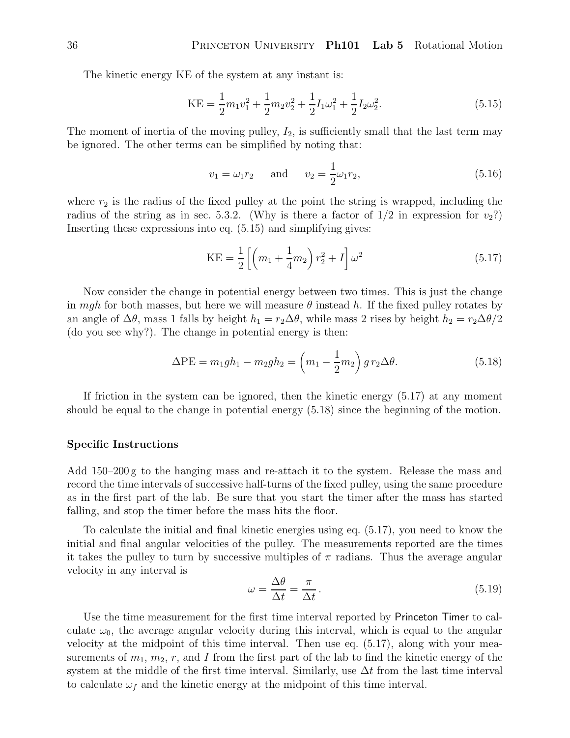The kinetic energy KE of the system at any instant is:

$$
KE = \frac{1}{2}m_1v_1^2 + \frac{1}{2}m_2v_2^2 + \frac{1}{2}I_1\omega_1^2 + \frac{1}{2}I_2\omega_2^2.
$$
 (5.15)

The moment of inertia of the moving pulley,  $I_2$ , is sufficiently small that the last term may be ignored. The other terms can be simplified by noting that:

$$
v_1 = \omega_1 r_2
$$
 and  $v_2 = \frac{1}{2} \omega_1 r_2,$  (5.16)

where  $r_2$  is the radius of the fixed pulley at the point the string is wrapped, including the radius of the string as in sec. 5.3.2. (Why is there a factor of  $1/2$  in expression for  $v_2$ ?) Inserting these expressions into eq. (5.15) and simplifying gives:

$$
KE = \frac{1}{2} \left[ \left( m_1 + \frac{1}{4} m_2 \right) r_2^2 + I \right] \omega^2 \tag{5.17}
$$

Now consider the change in potential energy between two times. This is just the change in mgh for both masses, but here we will measure  $\theta$  instead h. If the fixed pulley rotates by an angle of  $\Delta\theta$ , mass 1 falls by height  $h_1 = r_2\Delta\theta$ , while mass 2 rises by height  $h_2 = r_2\Delta\theta/2$ (do you see why?). The change in potential energy is then:

$$
\Delta PE = m_1gh_1 - m_2gh_2 = \left(m_1 - \frac{1}{2}m_2\right)g r_2 \Delta \theta.
$$
 (5.18)

If friction in the system can be ignored, then the kinetic energy (5.17) at any moment should be equal to the change in potential energy (5.18) since the beginning of the motion.

#### **Specific Instructions**

Add 150–200 g to the hanging mass and re-attach it to the system. Release the mass and record the time intervals of successive half-turns of the fixed pulley, using the same procedure as in the first part of the lab. Be sure that you start the timer after the mass has started falling, and stop the timer before the mass hits the floor.

To calculate the initial and final kinetic energies using eq. (5.17), you need to know the initial and final angular velocities of the pulley. The measurements reported are the times it takes the pulley to turn by successive multiples of  $\pi$  radians. Thus the average angular velocity in any interval is

$$
\omega = \frac{\Delta\theta}{\Delta t} = \frac{\pi}{\Delta t}.
$$
\n(5.19)

Use the time measurement for the first time interval reported by Princeton Timer to calculate  $\omega_0$ , the average angular velocity during this interval, which is equal to the angular velocity at the midpoint of this time interval. Then use eq. (5.17), along with your measurements of  $m_1, m_2, r$ , and I from the first part of the lab to find the kinetic energy of the system at the middle of the first time interval. Similarly, use  $\Delta t$  from the last time interval to calculate  $\omega_f$  and the kinetic energy at the midpoint of this time interval.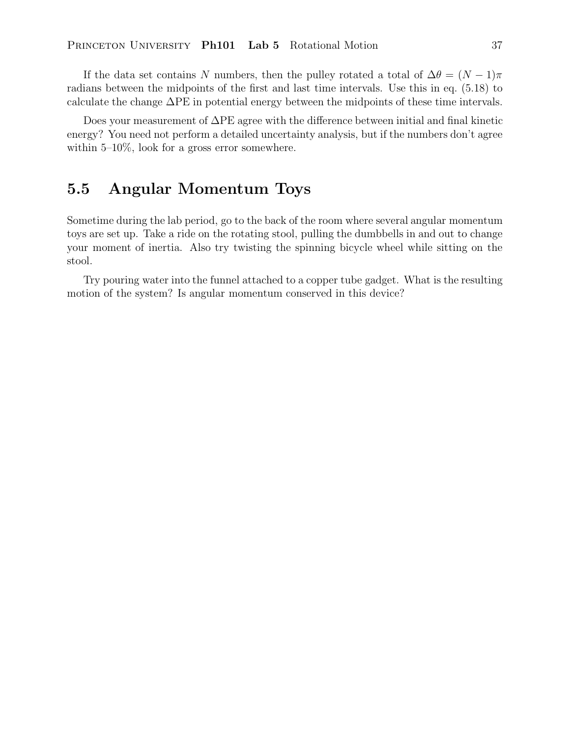If the data set contains N numbers, then the pulley rotated a total of  $\Delta\theta = (N-1)\pi$ radians between the midpoints of the first and last time intervals. Use this in eq. (5.18) to calculate the change  $\Delta PE$  in potential energy between the midpoints of these time intervals.

Does your measurement of  $\Delta PE$  agree with the difference between initial and final kinetic energy? You need not perform a detailed uncertainty analysis, but if the numbers don't agree within 5–10%, look for a gross error somewhere.

# **5.5 Angular Momentum Toys**

Sometime during the lab period, go to the back of the room where several angular momentum toys are set up. Take a ride on the rotating stool, pulling the dumbbells in and out to change your moment of inertia. Also try twisting the spinning bicycle wheel while sitting on the stool.

Try pouring water into the funnel attached to a copper tube gadget. What is the resulting motion of the system? Is angular momentum conserved in this device?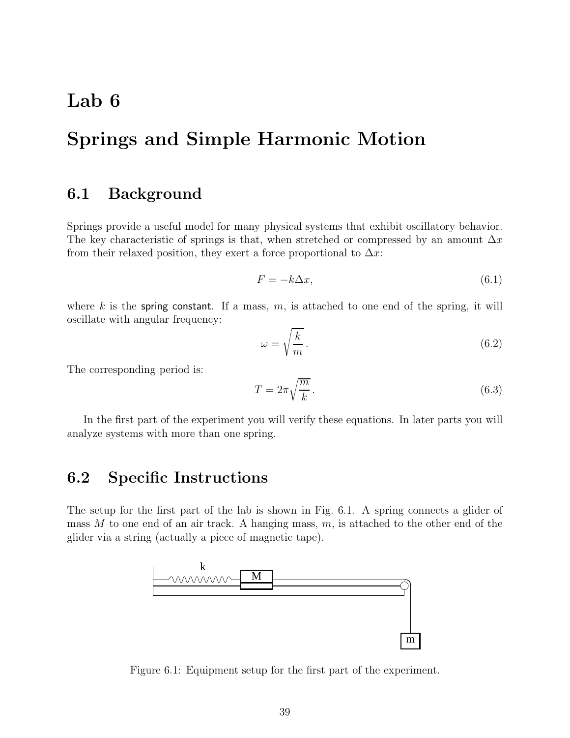# **Lab 6**

# **Springs and Simple Harmonic Motion**

### **6.1 Background**

Springs provide a useful model for many physical systems that exhibit oscillatory behavior. The key characteristic of springs is that, when stretched or compressed by an amount  $\Delta x$ from their relaxed position, they exert a force proportional to  $\Delta x$ :

$$
F = -k\Delta x,\tag{6.1}
$$

where k is the spring constant. If a mass,  $m$ , is attached to one end of the spring, it will oscillate with angular frequency:

$$
\omega = \sqrt{\frac{k}{m}}.\tag{6.2}
$$

The corresponding period is:

$$
T = 2\pi \sqrt{\frac{m}{k}}.
$$
\n(6.3)

In the first part of the experiment you will verify these equations. In later parts you will analyze systems with more than one spring.

## **6.2 Specific Instructions**

The setup for the first part of the lab is shown in Fig. 6.1. A spring connects a glider of mass  $M$  to one end of an air track. A hanging mass,  $m$ , is attached to the other end of the glider via a string (actually a piece of magnetic tape).



Figure 6.1: Equipment setup for the first part of the experiment.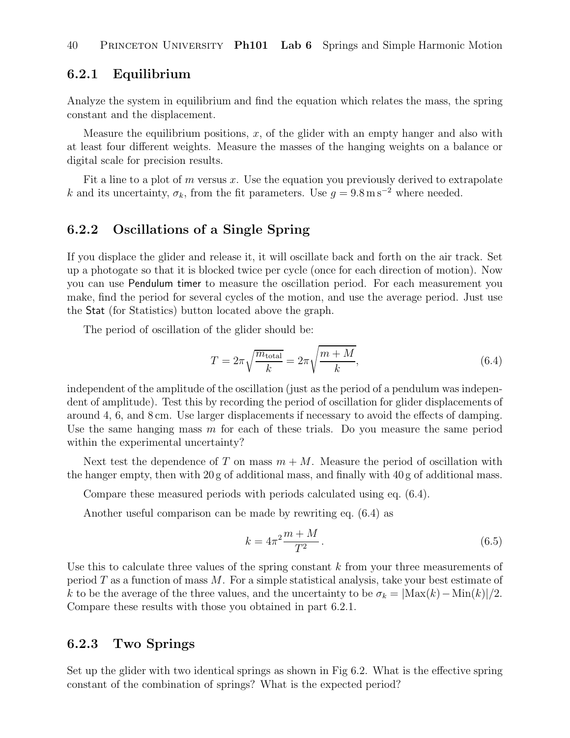#### **6.2.1 Equilibrium**

Analyze the system in equilibrium and find the equation which relates the mass, the spring constant and the displacement.

Measure the equilibrium positions,  $x$ , of the glider with an empty hanger and also with at least four different weights. Measure the masses of the hanging weights on a balance or digital scale for precision results.

Fit a line to a plot of  $m$  versus  $x$ . Use the equation you previously derived to extrapolate k and its uncertainty,  $\sigma_k$ , from the fit parameters. Use  $g = 9.8 \text{ m s}^{-2}$  where needed.

#### **6.2.2 Oscillations of a Single Spring**

If you displace the glider and release it, it will oscillate back and forth on the air track. Set up a photogate so that it is blocked twice per cycle (once for each direction of motion). Now you can use Pendulum timer to measure the oscillation period. For each measurement you make, find the period for several cycles of the motion, and use the average period. Just use the Stat (for Statistics) button located above the graph.

The period of oscillation of the glider should be:

$$
T = 2\pi \sqrt{\frac{m_{\text{total}}}{k}} = 2\pi \sqrt{\frac{m+M}{k}},\tag{6.4}
$$

independent of the amplitude of the oscillation (just as the period of a pendulum was independent of amplitude). Test this by recording the period of oscillation for glider displacements of around 4, 6, and 8 cm. Use larger displacements if necessary to avoid the effects of damping. Use the same hanging mass  $m$  for each of these trials. Do you measure the same period within the experimental uncertainty?

Next test the dependence of T on mass  $m + M$ . Measure the period of oscillation with the hanger empty, then with  $20 g$  of additional mass, and finally with  $40 g$  of additional mass.

Compare these measured periods with periods calculated using eq. (6.4).

Another useful comparison can be made by rewriting eq. (6.4) as

$$
k = 4\pi^2 \frac{m+M}{T^2}.
$$
\n(6.5)

Use this to calculate three values of the spring constant  $k$  from your three measurements of period  $T$  as a function of mass  $M$ . For a simple statistical analysis, take your best estimate of k to be the average of the three values, and the uncertainty to be  $\sigma_k = |\text{Max}(k) - \text{Min}(k)|/2$ . Compare these results with those you obtained in part 6.2.1.

#### **6.2.3 Two Springs**

Set up the glider with two identical springs as shown in Fig 6.2. What is the effective spring constant of the combination of springs? What is the expected period?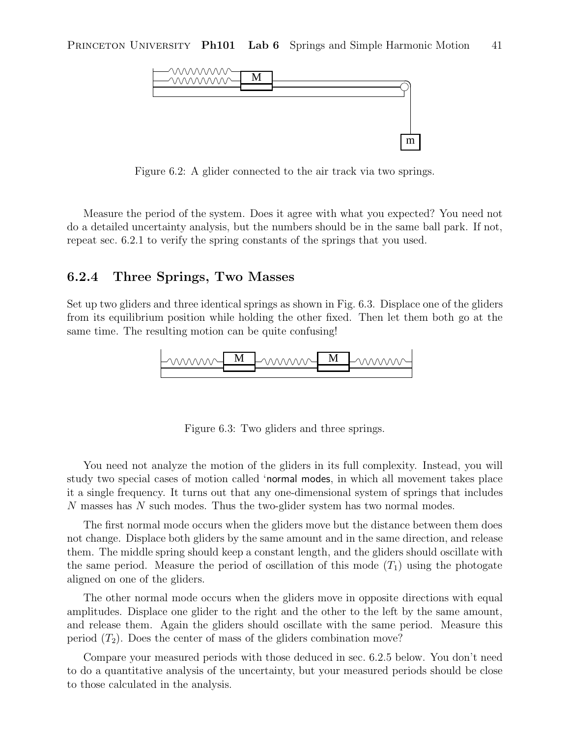

Figure 6.2: A glider connected to the air track via two springs.

Measure the period of the system. Does it agree with what you expected? You need not do a detailed uncertainty analysis, but the numbers should be in the same ball park. If not, repeat sec. 6.2.1 to verify the spring constants of the springs that you used.

#### **6.2.4 Three Springs, Two Masses**

Set up two gliders and three identical springs as shown in Fig. 6.3. Displace one of the gliders from its equilibrium position while holding the other fixed. Then let them both go at the same time. The resulting motion can be quite confusing!



Figure 6.3: Two gliders and three springs.

You need not analyze the motion of the gliders in its full complexity. Instead, you will study two special cases of motion called 'normal modes, in which all movement takes place it a single frequency. It turns out that any one-dimensional system of springs that includes N masses has N such modes. Thus the two-glider system has two normal modes.

The first normal mode occurs when the gliders move but the distance between them does not change. Displace both gliders by the same amount and in the same direction, and release them. The middle spring should keep a constant length, and the gliders should oscillate with the same period. Measure the period of oscillation of this mode  $(T_1)$  using the photogate aligned on one of the gliders.

The other normal mode occurs when the gliders move in opposite directions with equal amplitudes. Displace one glider to the right and the other to the left by the same amount, and release them. Again the gliders should oscillate with the same period. Measure this period  $(T_2)$ . Does the center of mass of the gliders combination move?

Compare your measured periods with those deduced in sec. 6.2.5 below. You don't need to do a quantitative analysis of the uncertainty, but your measured periods should be close to those calculated in the analysis.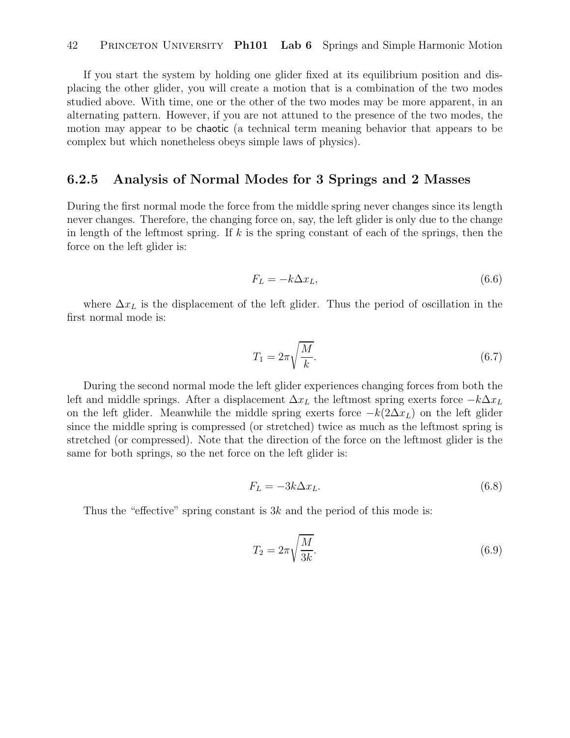If you start the system by holding one glider fixed at its equilibrium position and displacing the other glider, you will create a motion that is a combination of the two modes studied above. With time, one or the other of the two modes may be more apparent, in an alternating pattern. However, if you are not attuned to the presence of the two modes, the motion may appear to be chaotic (a technical term meaning behavior that appears to be complex but which nonetheless obeys simple laws of physics).

#### **6.2.5 Analysis of Normal Modes for 3 Springs and 2 Masses**

During the first normal mode the force from the middle spring never changes since its length never changes. Therefore, the changing force on, say, the left glider is only due to the change in length of the leftmost spring. If  $k$  is the spring constant of each of the springs, then the force on the left glider is:

$$
F_L = -k\Delta x_L,\tag{6.6}
$$

where  $\Delta x_L$  is the displacement of the left glider. Thus the period of oscillation in the first normal mode is:

$$
T_1 = 2\pi \sqrt{\frac{M}{k}}.\tag{6.7}
$$

During the second normal mode the left glider experiences changing forces from both the left and middle springs. After a displacement  $\Delta x_L$  the leftmost spring exerts force  $-k\Delta x_L$ on the left glider. Meanwhile the middle spring exerts force  $-k(2\Delta x_L)$  on the left glider since the middle spring is compressed (or stretched) twice as much as the leftmost spring is stretched (or compressed). Note that the direction of the force on the leftmost glider is the same for both springs, so the net force on the left glider is:

$$
F_L = -3k\Delta x_L. \tag{6.8}
$$

Thus the "effective" spring constant is  $3k$  and the period of this mode is:

$$
T_2 = 2\pi \sqrt{\frac{M}{3k}}.\tag{6.9}
$$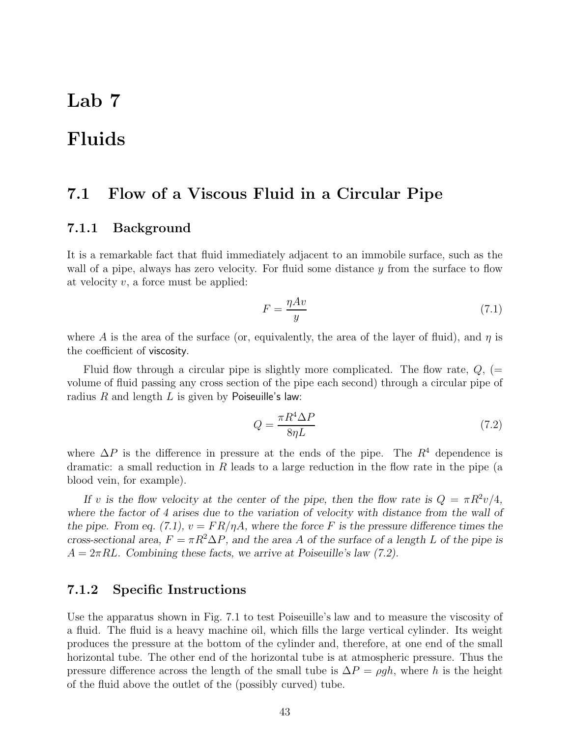# **Lab 7**

# **Fluids**

#### **7.1 Flow of a Viscous Fluid in a Circular Pipe**

#### **7.1.1 Background**

It is a remarkable fact that fluid immediately adjacent to an immobile surface, such as the wall of a pipe, always has zero velocity. For fluid some distance  $y$  from the surface to flow at velocity  $v$ , a force must be applied:

$$
F = \frac{\eta Av}{y} \tag{7.1}
$$

where A is the area of the surface (or, equivalently, the area of the layer of fluid), and  $\eta$  is the coefficient of viscosity.

Fluid flow through a circular pipe is slightly more complicated. The flow rate,  $Q$ ,  $(=$ volume of fluid passing any cross section of the pipe each second) through a circular pipe of radius  $R$  and length  $L$  is given by Poiseuille's law:

$$
Q = \frac{\pi R^4 \Delta P}{8\eta L} \tag{7.2}
$$

where  $\Delta P$  is the difference in pressure at the ends of the pipe. The  $R^4$  dependence is dramatic: a small reduction in R leads to a large reduction in the flow rate in the pipe (a blood vein, for example).

*If* v is the flow velocity at the center of the pipe, then the flow rate is  $Q = \pi R^2 v/4$ , *where the factor of 4 arises due to the variation of velocity with distance from the wall of the pipe. From eq. (7.1),*  $v = FR/\eta A$ *, where the force* F is the pressure difference times the *cross-sectional area,*  $F = \pi R^2 \Delta P$ *, and the area A of the surface of a length* L of the pipe is  $A = 2\pi R L$ . Combining these facts, we arrive at Poiseuille's law (7.2).

#### **7.1.2 Specific Instructions**

Use the apparatus shown in Fig. 7.1 to test Poiseuille's law and to measure the viscosity of a fluid. The fluid is a heavy machine oil, which fills the large vertical cylinder. Its weight produces the pressure at the bottom of the cylinder and, therefore, at one end of the small horizontal tube. The other end of the horizontal tube is at atmospheric pressure. Thus the pressure difference across the length of the small tube is  $\Delta P = \rho gh$ , where h is the height of the fluid above the outlet of the (possibly curved) tube.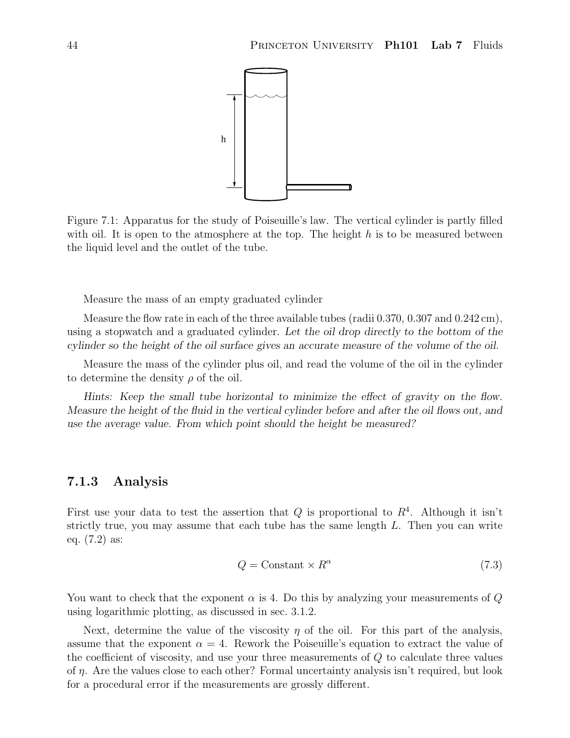

Figure 7.1: Apparatus for the study of Poiseuille's law. The vertical cylinder is partly filled with oil. It is open to the atmosphere at the top. The height  $h$  is to be measured between the liquid level and the outlet of the tube.

Measure the mass of an empty graduated cylinder

Measure the flow rate in each of the three available tubes (radii  $0.370, 0.307$  and  $0.242 \text{ cm}$ ), using a stopwatch and a graduated cylinder. *Let the oil drop directly to the bottom of the cylinder so the height of the oil surface gives an accurate measure of the volume of the oil.*

Measure the mass of the cylinder plus oil, and read the volume of the oil in the cylinder to determine the density  $\rho$  of the oil.

*Hints: Keep the small tube horizontal to minimize the effect of gravity on the flow. Measure the height of the fluid in the vertical cylinder before and after the oil flows out, and use the average value. From which point should the height be measured?*

#### **7.1.3 Analysis**

First use your data to test the assertion that Q is proportional to  $R<sup>4</sup>$ . Although it isn't strictly true, you may assume that each tube has the same length  $L$ . Then you can write eq. (7.2) as:

$$
Q = \text{Constant} \times R^{\alpha} \tag{7.3}
$$

You want to check that the exponent  $\alpha$  is 4. Do this by analyzing your measurements of Q using logarithmic plotting, as discussed in sec. 3.1.2.

Next, determine the value of the viscosity  $\eta$  of the oil. For this part of the analysis, assume that the exponent  $\alpha = 4$ . Rework the Poiseuille's equation to extract the value of the coefficient of viscosity, and use your three measurements of Q to calculate three values of  $\eta$ . Are the values close to each other? Formal uncertainty analysis isn't required, but look for a procedural error if the measurements are grossly different.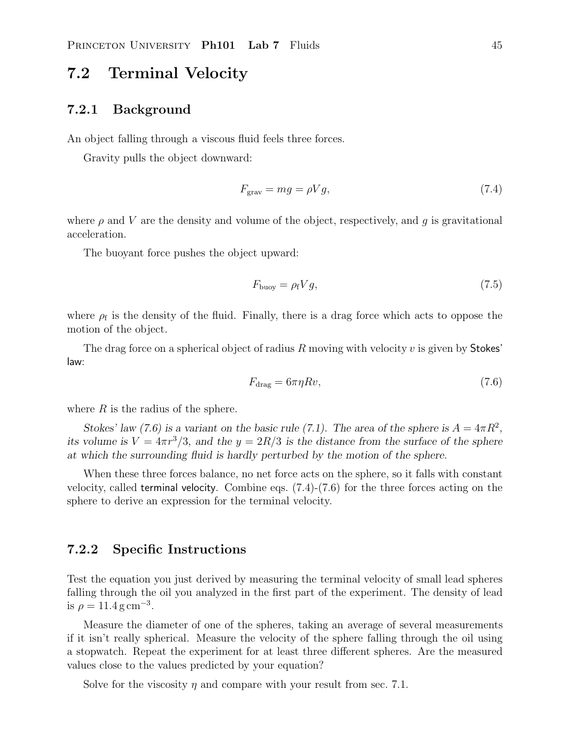### **7.2 Terminal Velocity**

#### **7.2.1 Background**

An object falling through a viscous fluid feels three forces.

Gravity pulls the object downward:

$$
F_{\text{grav}} = mg = \rho Vg,\tag{7.4}
$$

where  $\rho$  and V are the density and volume of the object, respectively, and q is gravitational acceleration.

The buoyant force pushes the object upward:

$$
F_{\text{buoy}} = \rho_{\text{f}} V g,\tag{7.5}
$$

where  $\rho_f$  is the density of the fluid. Finally, there is a drag force which acts to oppose the motion of the object.

The drag force on a spherical object of radius R moving with velocity  $v$  is given by Stokes' law:

$$
F_{\text{drag}} = 6\pi\eta Rv,\tag{7.6}
$$

where  $R$  is the radius of the sphere.

*Stokes' law (7.6) is a variant on the basic rule (7.1). The area of the sphere is*  $A = 4\pi R^2$ , *its volume is*  $V = 4\pi r^3/3$ , and the  $y = 2R/3$  *is the distance from the surface of the sphere at which the surrounding fluid is hardly perturbed by the motion of the sphere.*

When these three forces balance, no net force acts on the sphere, so it falls with constant velocity, called terminal velocity. Combine eqs.  $(7.4)-(7.6)$  for the three forces acting on the sphere to derive an expression for the terminal velocity.

#### **7.2.2 Specific Instructions**

Test the equation you just derived by measuring the terminal velocity of small lead spheres falling through the oil you analyzed in the first part of the experiment. The density of lead is  $\rho = 11.4 \,\mathrm{g\,cm^{-3}}$ .

Measure the diameter of one of the spheres, taking an average of several measurements if it isn't really spherical. Measure the velocity of the sphere falling through the oil using a stopwatch. Repeat the experiment for at least three different spheres. Are the measured values close to the values predicted by your equation?

Solve for the viscosity  $\eta$  and compare with your result from sec. 7.1.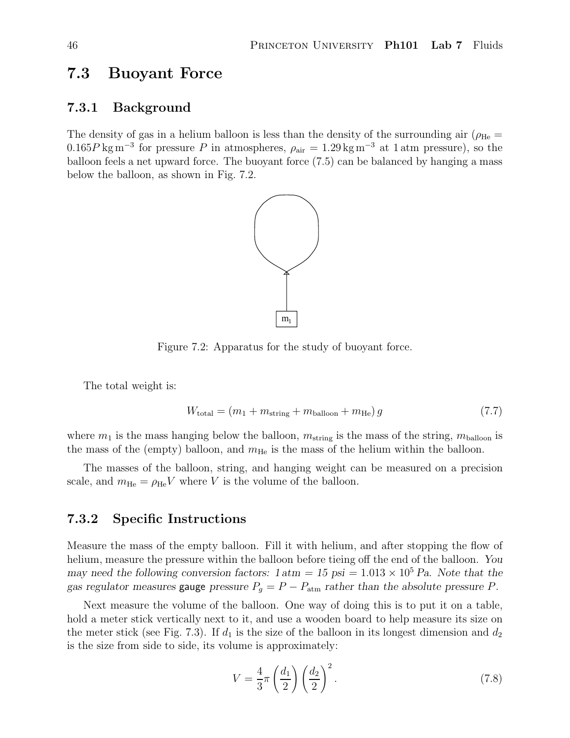### **7.3 Buoyant Force**

#### **7.3.1 Background**

The density of gas in a helium balloon is less than the density of the surrounding air ( $\rho_{\text{He}}$  = 0.165P kg m<sup>-3</sup> for pressure P in atmospheres,  $\rho_{\text{air}} = 1.29 \text{ kg m}^{-3}$  at 1 atm pressure), so the balloon feels a net upward force. The buoyant force (7.5) can be balanced by hanging a mass below the balloon, as shown in Fig. 7.2.



Figure 7.2: Apparatus for the study of buoyant force.

The total weight is:

$$
W_{\text{total}} = (m_1 + m_{\text{string}} + m_{\text{balloon}} + m_{\text{He}})g
$$
\n
$$
(7.7)
$$

where  $m_1$  is the mass hanging below the balloon,  $m_{\text{string}}$  is the mass of the string,  $m_{\text{balloon}}$  is the mass of the (empty) balloon, and  $m_{\text{He}}$  is the mass of the helium within the balloon.

The masses of the balloon, string, and hanging weight can be measured on a precision scale, and  $m_{\text{He}} = \rho_{\text{He}} V$  where V is the volume of the balloon.

#### **7.3.2 Specific Instructions**

Measure the mass of the empty balloon. Fill it with helium, and after stopping the flow of helium, measure the pressure within the balloon before tieing off the end of the balloon. *You may need the following conversion factors:*  $1 \text{ atm} = 15 \text{ psi} = 1.013 \times 10^5 \text{ Pa}$ . Note that the *gas regulator measures* gauge *pressure*  $P_g = P - P_{\text{atm}}$  *rather than the absolute pressure* P.

Next measure the volume of the balloon. One way of doing this is to put it on a table, hold a meter stick vertically next to it, and use a wooden board to help measure its size on the meter stick (see Fig. 7.3). If  $d_1$  is the size of the balloon in its longest dimension and  $d_2$ is the size from side to side, its volume is approximately:

$$
V = \frac{4}{3}\pi \left(\frac{d_1}{2}\right) \left(\frac{d_2}{2}\right)^2.
$$
\n(7.8)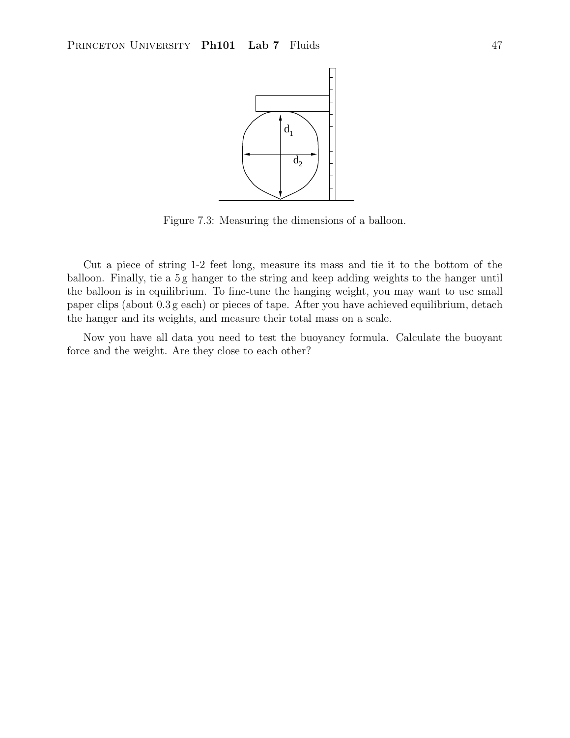

Figure 7.3: Measuring the dimensions of a balloon.

Cut a piece of string 1-2 feet long, measure its mass and tie it to the bottom of the balloon. Finally, tie a 5 g hanger to the string and keep adding weights to the hanger until the balloon is in equilibrium. To fine-tune the hanging weight, you may want to use small paper clips (about 0.3 g each) or pieces of tape. After you have achieved equilibrium, detach the hanger and its weights, and measure their total mass on a scale.

Now you have all data you need to test the buoyancy formula. Calculate the buoyant force and the weight. Are they close to each other?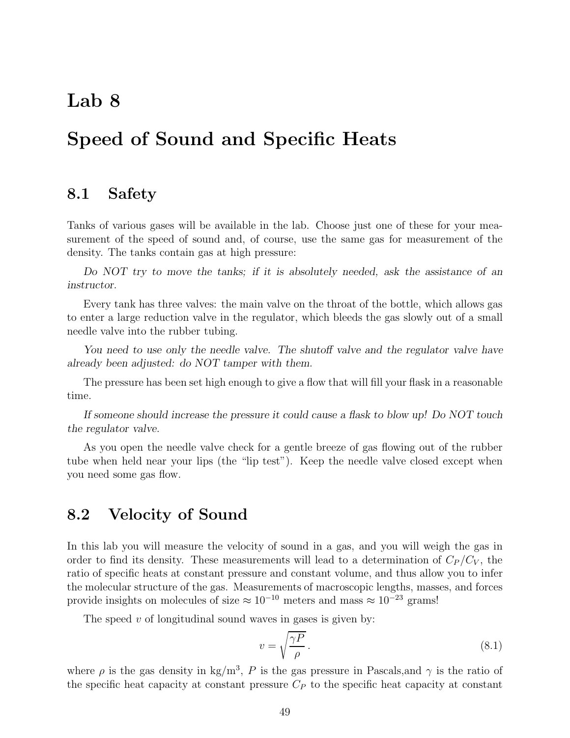# **Lab 8**

# **Speed of Sound and Specific Heats**

#### **8.1 Safety**

Tanks of various gases will be available in the lab. Choose just one of these for your measurement of the speed of sound and, of course, use the same gas for measurement of the density. The tanks contain gas at high pressure:

*Do NOT try to move the tanks; if it is absolutely needed, ask the assistance of an instructor.*

Every tank has three valves: the main valve on the throat of the bottle, which allows gas to enter a large reduction valve in the regulator, which bleeds the gas slowly out of a small needle valve into the rubber tubing.

*You need to use only the needle valve. The shutoff valve and the regulator valve have already been adjusted: do NOT tamper with them*.

The pressure has been set high enough to give a flow that will fill your flask in a reasonable time.

*If someone should increase the pressure it could cause a flask to blow up! Do NOT touch the regulator valve.*

As you open the needle valve check for a gentle breeze of gas flowing out of the rubber tube when held near your lips (the "lip test"). Keep the needle valve closed except when you need some gas flow.

#### **8.2 Velocity of Sound**

In this lab you will measure the velocity of sound in a gas, and you will weigh the gas in order to find its density. These measurements will lead to a determination of  $C_P/C_V$ , the ratio of specific heats at constant pressure and constant volume, and thus allow you to infer the molecular structure of the gas. Measurements of macroscopic lengths, masses, and forces provide insights on molecules of size  $\approx 10^{-10}$  meters and mass  $\approx 10^{-23}$  grams!

The speed  $v$  of longitudinal sound waves in gases is given by:

$$
v = \sqrt{\frac{\gamma P}{\rho}}.\tag{8.1}
$$

where  $\rho$  is the gas density in kg/m<sup>3</sup>, P is the gas pressure in Pascals, and  $\gamma$  is the ratio of the specific heat capacity at constant pressure  $C_P$  to the specific heat capacity at constant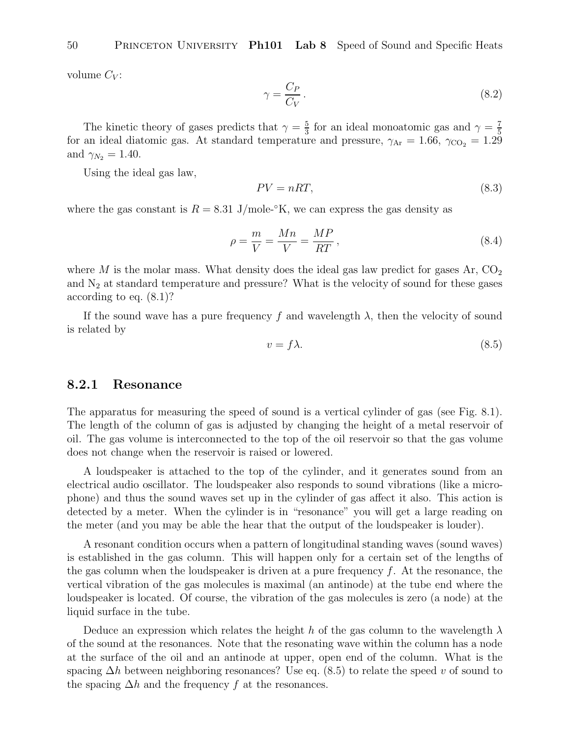50 Princeton University **Ph101 Lab 8** Speed of Sound and Specific Heats

volume  $C_V$ :

$$
\gamma = \frac{C_P}{C_V}.\tag{8.2}
$$

The kinetic theory of gases predicts that  $\gamma = \frac{5}{3}$  for an ideal monoatomic gas and  $\gamma = \frac{7}{5}$ for an ideal diatomic gas. At standard temperature and pressure,  $\gamma_{Ar} = 1.66$ ,  $\gamma_{CO_2} = 1.29$ and  $\gamma_{N_2} = 1.40$ .

Using the ideal gas law,

$$
PV = nRT,\tag{8.3}
$$

where the gas constant is  $R = 8.31$  J/mole-°K, we can express the gas density as

$$
\rho = \frac{m}{V} = \frac{Mn}{V} = \frac{MP}{RT},\tag{8.4}
$$

where M is the molar mass. What density does the ideal gas law predict for gases  $Ar, CO<sub>2</sub>$ and  $N_2$  at standard temperature and pressure? What is the velocity of sound for these gases according to eq. (8.1)?

If the sound wave has a pure frequency f and wavelength  $\lambda$ , then the velocity of sound is related by

$$
v = f\lambda. \tag{8.5}
$$

#### **8.2.1 Resonance**

The apparatus for measuring the speed of sound is a vertical cylinder of gas (see Fig. 8.1). The length of the column of gas is adjusted by changing the height of a metal reservoir of oil. The gas volume is interconnected to the top of the oil reservoir so that the gas volume does not change when the reservoir is raised or lowered.

A loudspeaker is attached to the top of the cylinder, and it generates sound from an electrical audio oscillator. The loudspeaker also responds to sound vibrations (like a microphone) and thus the sound waves set up in the cylinder of gas affect it also. This action is detected by a meter. When the cylinder is in "resonance" you will get a large reading on the meter (and you may be able the hear that the output of the loudspeaker is louder).

A resonant condition occurs when a pattern of longitudinal standing waves (sound waves) is established in the gas column. This will happen only for a certain set of the lengths of the gas column when the loudspeaker is driven at a pure frequency  $f$ . At the resonance, the vertical vibration of the gas molecules is maximal (an antinode) at the tube end where the loudspeaker is located. Of course, the vibration of the gas molecules is zero (a node) at the liquid surface in the tube.

Deduce an expression which relates the height h of the gas column to the wavelength  $\lambda$ of the sound at the resonances. Note that the resonating wave within the column has a node at the surface of the oil and an antinode at upper, open end of the column. What is the spacing  $\Delta h$  between neighboring resonances? Use eq. (8.5) to relate the speed v of sound to the spacing  $\Delta h$  and the frequency f at the resonances.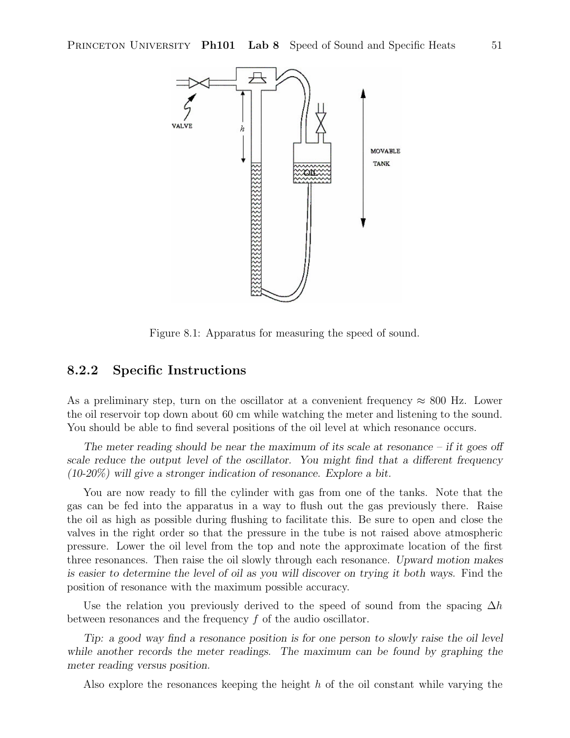

Figure 8.1: Apparatus for measuring the speed of sound.

#### **8.2.2 Specific Instructions**

As a preliminary step, turn on the oscillator at a convenient frequency  $\approx 800$  Hz. Lower the oil reservoir top down about 60 cm while watching the meter and listening to the sound. You should be able to find several positions of the oil level at which resonance occurs.

*The meter reading should be near the maximum of its scale at resonance – if it goes off scale reduce the output level of the oscillator. You might find that a different frequency (10-20%) will give a stronger indication of resonance. Explore a bit.*

You are now ready to fill the cylinder with gas from one of the tanks. Note that the gas can be fed into the apparatus in a way to flush out the gas previously there. Raise the oil as high as possible during flushing to facilitate this. Be sure to open and close the valves in the right order so that the pressure in the tube is not raised above atmospheric pressure. Lower the oil level from the top and note the approximate location of the first three resonances. Then raise the oil slowly through each resonance. *Upward motion makes is easier to determine the level of oil as you will discover on trying it both ways.* Find the position of resonance with the maximum possible accuracy.

Use the relation you previously derived to the speed of sound from the spacing  $\Delta h$ between resonances and the frequency f of the audio oscillator.

*Tip: a good way find a resonance position is for one person to slowly raise the oil level while another records the meter readings. The maximum can be found by graphing the meter reading versus position.*

Also explore the resonances keeping the height  $h$  of the oil constant while varying the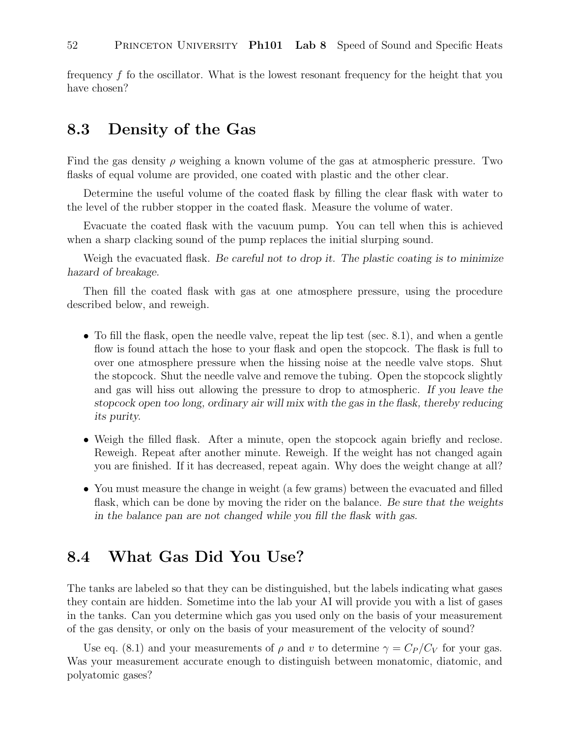frequency f fo the oscillator. What is the lowest resonant frequency for the height that you have chosen?

### **8.3 Density of the Gas**

Find the gas density  $\rho$  weighing a known volume of the gas at atmospheric pressure. Two flasks of equal volume are provided, one coated with plastic and the other clear.

Determine the useful volume of the coated flask by filling the clear flask with water to the level of the rubber stopper in the coated flask. Measure the volume of water.

Evacuate the coated flask with the vacuum pump. You can tell when this is achieved when a sharp clacking sound of the pump replaces the initial slurping sound.

Weigh the evacuated flask. *Be careful not to drop it. The plastic coating is to minimize hazard of breakage.*

Then fill the coated flask with gas at one atmosphere pressure, using the procedure described below, and reweigh.

- To fill the flask, open the needle valve, repeat the lip test (sec. 8.1), and when a gentle flow is found attach the hose to your flask and open the stopcock. The flask is full to over one atmosphere pressure when the hissing noise at the needle valve stops. Shut the stopcock. Shut the needle valve and remove the tubing. Open the stopcock slightly and gas will hiss out allowing the pressure to drop to atmospheric. *If you leave the stopcock open too long, ordinary air will mix with the gas in the flask, thereby reducing its purity.*
- Weigh the filled flask. After a minute, open the stopcock again briefly and reclose. Reweigh. Repeat after another minute. Reweigh. If the weight has not changed again you are finished. If it has decreased, repeat again. Why does the weight change at all?
- You must measure the change in weight (a few grams) between the evacuated and filled flask, which can be done by moving the rider on the balance. *Be sure that the weights in the balance pan are not changed while you fill the flask with gas.*

### **8.4 What Gas Did You Use?**

The tanks are labeled so that they can be distinguished, but the labels indicating what gases they contain are hidden. Sometime into the lab your AI will provide you with a list of gases in the tanks. Can you determine which gas you used only on the basis of your measurement of the gas density, or only on the basis of your measurement of the velocity of sound?

Use eq. (8.1) and your measurements of  $\rho$  and v to determine  $\gamma = C_P/C_V$  for your gas. Was your measurement accurate enough to distinguish between monatomic, diatomic, and polyatomic gases?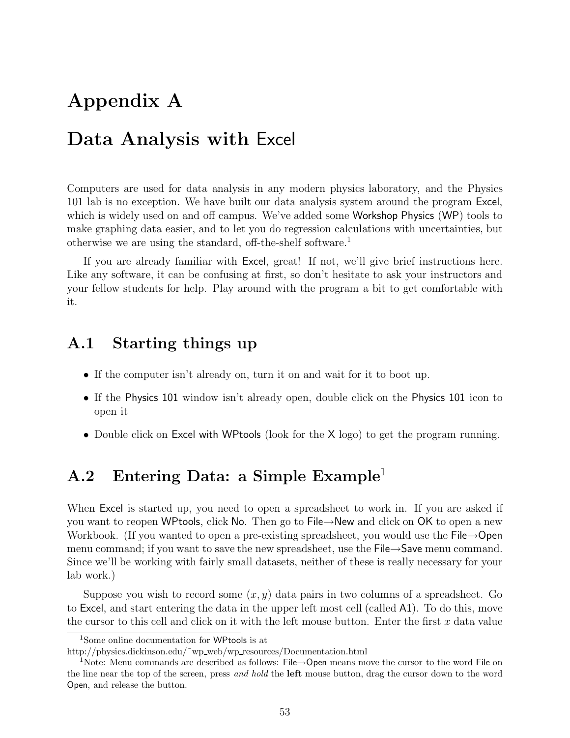# **Appendix A**

# **Data Analysis with** Excel

Computers are used for data analysis in any modern physics laboratory, and the Physics 101 lab is no exception. We have built our data analysis system around the program Excel, which is widely used on and off campus. We've added some Workshop Physics (WP) tools to make graphing data easier, and to let you do regression calculations with uncertainties, but otherwise we are using the standard, off-the-shelf software.<sup>1</sup>

If you are already familiar with Excel, great! If not, we'll give brief instructions here. Like any software, it can be confusing at first, so don't hesitate to ask your instructors and your fellow students for help. Play around with the program a bit to get comfortable with it.

### **A.1 Starting things up**

- If the computer isn't already on, turn it on and wait for it to boot up.
- If the Physics 101 window isn't already open, double click on the Physics 101 icon to open it
- Double click on Excel with WPtools (look for the X logo) to get the program running.

## **A.2 Entering Data: a Simple Example**<sup>1</sup>

When Excel is started up, you need to open a spreadsheet to work in. If you are asked if you want to reopen WPtools, click No. Then go to File→New and click on OK to open a new Workbook. (If you wanted to open a pre-existing spreadsheet, you would use the File→Open menu command; if you want to save the new spreadsheet, use the File→Save menu command. Since we'll be working with fairly small datasets, neither of these is really necessary for your lab work.)

Suppose you wish to record some  $(x, y)$  data pairs in two columns of a spreadsheet. Go to Excel, and start entering the data in the upper left most cell (called A1). To do this, move the cursor to this cell and click on it with the left mouse button. Enter the first  $x$  data value

<sup>1</sup>Some online documentation for WPtools is at

http://physics.dickinson.edu/~wp\_web/wp\_resources/Documentation.html

<sup>&</sup>lt;sup>1</sup>Note: Menu commands are described as follows: File→Open means move the cursor to the word File on the line near the top of the screen, press *and hold* the **left** mouse button, drag the cursor down to the word Open, and release the button.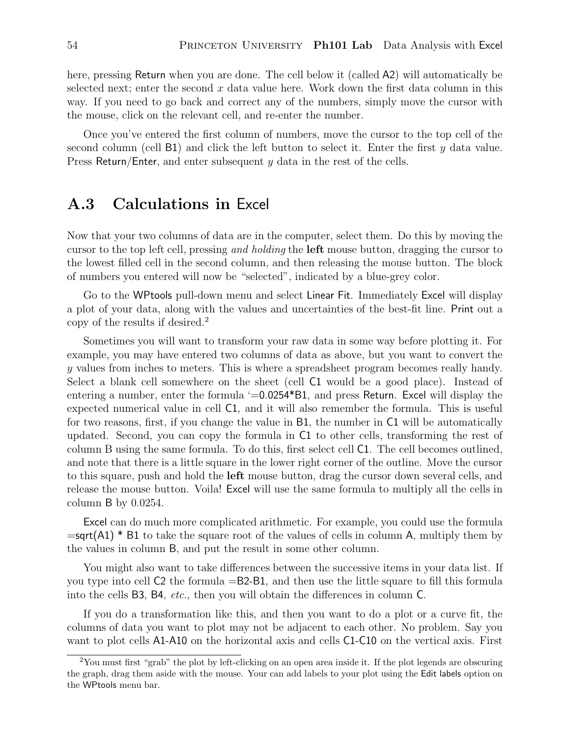here, pressing Return when you are done. The cell below it (called A2) will automatically be selected next; enter the second  $x$  data value here. Work down the first data column in this way. If you need to go back and correct any of the numbers, simply move the cursor with the mouse, click on the relevant cell, and re-enter the number.

Once you've entered the first column of numbers, move the cursor to the top cell of the second column (cell B1) and click the left button to select it. Enter the first y data value. Press Return/Enter, and enter subsequent  $\gamma$  data in the rest of the cells.

### **A.3 Calculations in** Excel

Now that your two columns of data are in the computer, select them. Do this by moving the cursor to the top left cell, pressing *and holding* the **left** mouse button, dragging the cursor to the lowest filled cell in the second column, and then releasing the mouse button. The block of numbers you entered will now be "selected", indicated by a blue-grey color.

Go to the WPtools pull-down menu and select Linear Fit. Immediately Excel will display a plot of your data, along with the values and uncertainties of the best-fit line. Print out a copy of the results if desired.<sup>2</sup>

Sometimes you will want to transform your raw data in some way before plotting it. For example, you may have entered two columns of data as above, but you want to convert the y values from inches to meters. This is where a spreadsheet program becomes really handy. Select a blank cell somewhere on the sheet (cell C1 would be a good place). Instead of entering a number, enter the formula '=0.0254\*B1, and press Return. Excel will display the expected numerical value in cell C1, and it will also remember the formula. This is useful for two reasons, first, if you change the value in B1, the number in C1 will be automatically updated. Second, you can copy the formula in C1 to other cells, transforming the rest of column B using the same formula. To do this, first select cell C1. The cell becomes outlined, and note that there is a little square in the lower right corner of the outline. Move the cursor to this square, push and hold the **left** mouse button, drag the cursor down several cells, and release the mouse button. Voila! Excel will use the same formula to multiply all the cells in column B by 0.0254.

Excel can do much more complicated arithmetic. For example, you could use the formula  $=$ sqrt(A1)  $*$  B1 to take the square root of the values of cells in column A, multiply them by the values in column B, and put the result in some other column.

You might also want to take differences between the successive items in your data list. If you type into cell C2 the formula =B2-B1, and then use the little square to fill this formula into the cells B3, B4, *etc.*, then you will obtain the differences in column C.

If you do a transformation like this, and then you want to do a plot or a curve fit, the columns of data you want to plot may not be adjacent to each other. No problem. Say you want to plot cells A1-A10 on the horizontal axis and cells C1-C10 on the vertical axis. First

<sup>&</sup>lt;sup>2</sup>You must first "grab" the plot by left-clicking on an open area inside it. If the plot legends are obscuring the graph, drag them aside with the mouse. Your can add labels to your plot using the Edit labels option on the WPtools menu bar.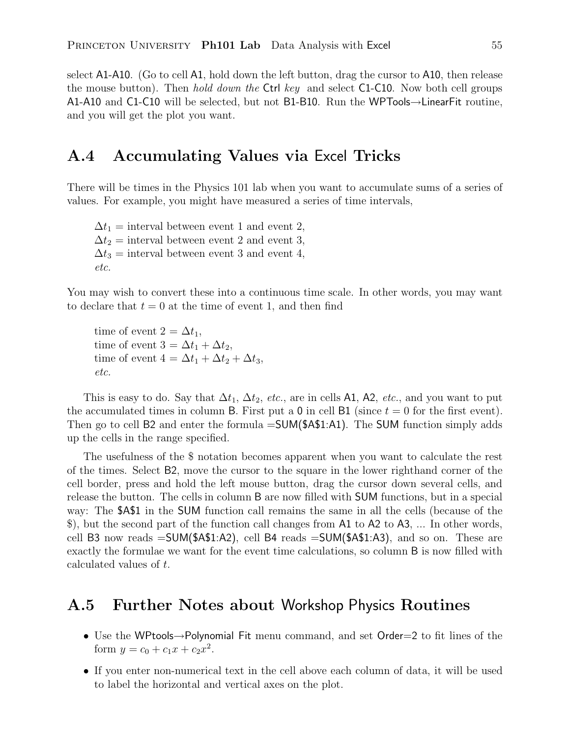select A1-A10. (Go to cell A1, hold down the left button, drag the cursor to A10, then release the mouse button). Then *hold down the* Ctrl *key* and select C1-C10. Now both cell groups A1-A10 and C1-C10 will be selected, but not B1-B10. Run the WPTools→LinearFit routine, and you will get the plot you want.

### **A.4 Accumulating Values via** Excel **Tricks**

There will be times in the Physics 101 lab when you want to accumulate sums of a series of values. For example, you might have measured a series of time intervals,

 $\Delta t_1$  = interval between event 1 and event 2,  $\Delta t_2$  = interval between event 2 and event 3,  $\Delta t_3$  = interval between event 3 and event 4, *etc.*

You may wish to convert these into a continuous time scale. In other words, you may want to declare that  $t = 0$  at the time of event 1, and then find

time of event  $2 = \Delta t_1$ , time of event  $3 = \Delta t_1 + \Delta t_2$ , time of event  $4 = \Delta t_1 + \Delta t_2 + \Delta t_3$ , *etc.*

This is easy to do. Say that  $\Delta t_1$ ,  $\Delta t_2$ , *etc.*, are in cells A1, A2, *etc.*, and you want to put the accumulated times in column B. First put a 0 in cell B1 (since  $t = 0$  for the first event). Then go to cell B2 and enter the formula  $=SUM($ \$4\$1:A1). The SUM function simply adds up the cells in the range specified.

The usefulness of the \$ notation becomes apparent when you want to calculate the rest of the times. Select B2, move the cursor to the square in the lower righthand corner of the cell border, press and hold the left mouse button, drag the cursor down several cells, and release the button. The cells in column B are now filled with SUM functions, but in a special way: The \$A\$1 in the SUM function call remains the same in all the cells (because of the \$), but the second part of the function call changes from A1 to A2 to A3, ... In other words, cell B3 now reads =SUM(\$A\$1:A2), cell B4 reads =SUM(\$A\$1:A3), and so on. These are exactly the formulae we want for the event time calculations, so column B is now filled with calculated values of t.

### **A.5 Further Notes about** Workshop Physics **Routines**

- Use the WPtools→Polynomial Fit menu command, and set Order=2 to fit lines of the form  $y = c_0 + c_1 x + c_2 x^2$ .
- If you enter non-numerical text in the cell above each column of data, it will be used to label the horizontal and vertical axes on the plot.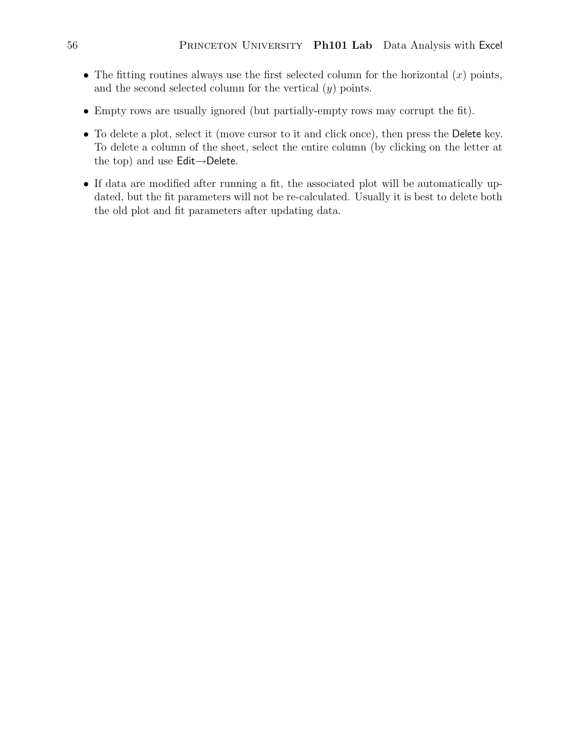- The fitting routines always use the first selected column for the horizontal  $(x)$  points, and the second selected column for the vertical  $(y)$  points.
- Empty rows are usually ignored (but partially-empty rows may corrupt the fit).
- To delete a plot, select it (move cursor to it and click once), then press the Delete key. To delete a column of the sheet, select the entire column (by clicking on the letter at the top) and use Edit→Delete.
- If data are modified after running a fit, the associated plot will be automatically updated, but the fit parameters will not be re-calculated. Usually it is best to delete both the old plot and fit parameters after updating data.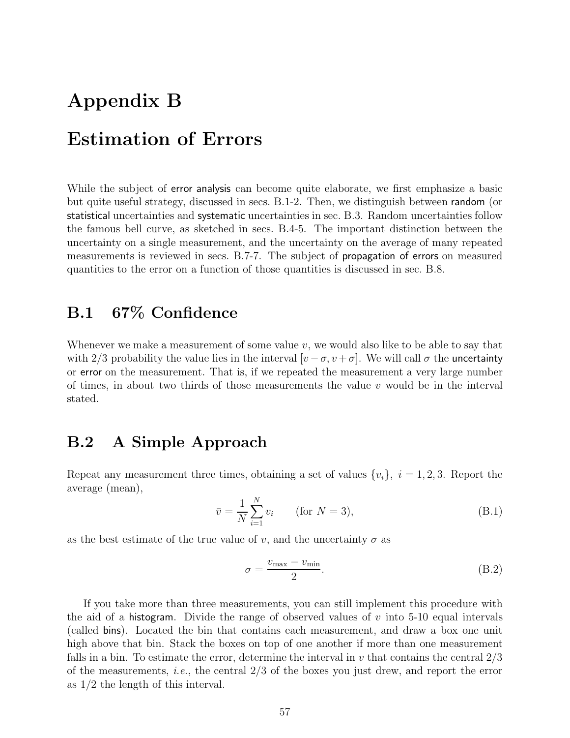# **Appendix B Estimation of Errors**

While the subject of **error analysis** can become quite elaborate, we first emphasize a basic but quite useful strategy, discussed in secs. B.1-2. Then, we distinguish between random (or statistical uncertainties and systematic uncertainties in sec. B.3. Random uncertainties follow the famous bell curve, as sketched in secs. B.4-5. The important distinction between the uncertainty on a single measurement, and the uncertainty on the average of many repeated measurements is reviewed in secs. B.7-7. The subject of propagation of errors on measured quantities to the error on a function of those quantities is discussed in sec. B.8.

# **B.1 67% Confidence**

Whenever we make a measurement of some value  $v$ , we would also like to be able to say that with 2/3 probability the value lies in the interval  $[v - \sigma, v + \sigma]$ . We will call  $\sigma$  the uncertainty or error on the measurement. That is, if we repeated the measurement a very large number of times, in about two thirds of those measurements the value  $v$  would be in the interval stated.

# **B.2 A Simple Approach**

Repeat any measurement three times, obtaining a set of values  $\{v_i\}, i = 1, 2, 3$ . Report the average (mean),

$$
\bar{v} = \frac{1}{N} \sum_{i=1}^{N} v_i \qquad \text{(for } N = 3), \tag{B.1}
$$

as the best estimate of the true value of v, and the uncertainty  $\sigma$  as

$$
\sigma = \frac{v_{\text{max}} - v_{\text{min}}}{2}.
$$
\n(B.2)

If you take more than three measurements, you can still implement this procedure with the aid of a histogram. Divide the range of observed values of  $v$  into 5-10 equal intervals (called bins). Located the bin that contains each measurement, and draw a box one unit high above that bin. Stack the boxes on top of one another if more than one measurement falls in a bin. To estimate the error, determine the interval in  $v$  that contains the central  $2/3$ of the measurements, *i.e.*, the central 2/3 of the boxes you just drew, and report the error as 1/2 the length of this interval.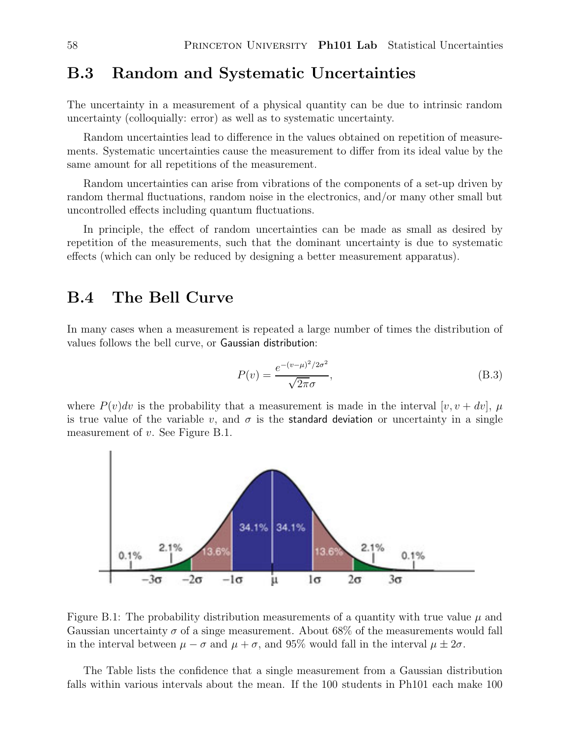### **B.3 Random and Systematic Uncertainties**

The uncertainty in a measurement of a physical quantity can be due to intrinsic random uncertainty (colloquially: error) as well as to systematic uncertainty.

Random uncertainties lead to difference in the values obtained on repetition of measurements. Systematic uncertainties cause the measurement to differ from its ideal value by the same amount for all repetitions of the measurement.

Random uncertainties can arise from vibrations of the components of a set-up driven by random thermal fluctuations, random noise in the electronics, and/or many other small but uncontrolled effects including quantum fluctuations.

In principle, the effect of random uncertainties can be made as small as desired by repetition of the measurements, such that the dominant uncertainty is due to systematic effects (which can only be reduced by designing a better measurement apparatus).

### **B.4 The Bell Curve**

In many cases when a measurement is repeated a large number of times the distribution of values follows the bell curve, or Gaussian distribution:

$$
P(v) = \frac{e^{-(v-\mu)^2/2\sigma^2}}{\sqrt{2\pi}\sigma},
$$
\n(B.3)

where  $P(v)dv$  is the probability that a measurement is made in the interval  $[v, v + dv]$ ,  $\mu$ is true value of the variable v, and  $\sigma$  is the standard deviation or uncertainty in a single measurement of v. See Figure B.1.



Figure B.1: The probability distribution measurements of a quantity with true value  $\mu$  and Gaussian uncertainty  $\sigma$  of a singe measurement. About 68% of the measurements would fall in the interval between  $\mu - \sigma$  and  $\mu + \sigma$ , and 95% would fall in the interval  $\mu \pm 2\sigma$ .

The Table lists the confidence that a single measurement from a Gaussian distribution falls within various intervals about the mean. If the 100 students in Ph101 each make 100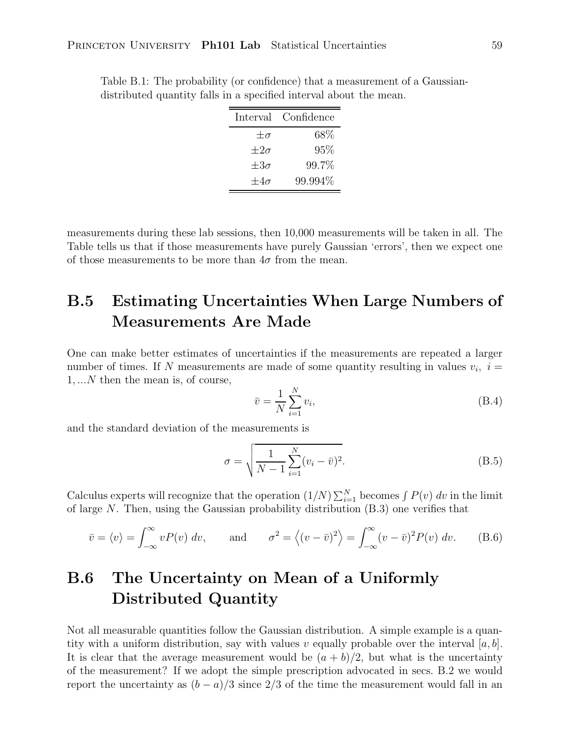| Interval Confidence |
|---------------------|
| $68\%$              |
| 95%                 |
| 99.7%               |
| 99.994%             |
|                     |

Table B.1: The probability (or confidence) that a measurement of a Gaussiandistributed quantity falls in a specified interval about the mean.

measurements during these lab sessions, then 10,000 measurements will be taken in all. The Table tells us that if those measurements have purely Gaussian 'errors', then we expect one of those measurements to be more than  $4\sigma$  from the mean.

# **B.5 Estimating Uncertainties When Large Numbers of Measurements Are Made**

One can make better estimates of uncertainties if the measurements are repeated a larger number of times. If N measurements are made of some quantity resulting in values  $v_i$ ,  $i =$ 1, ...N then the mean is, of course,

$$
\bar{v} = \frac{1}{N} \sum_{i=1}^{N} v_i,
$$
\n(B.4)

and the standard deviation of the measurements is

$$
\sigma = \sqrt{\frac{1}{N-1} \sum_{i=1}^{N} (v_i - \bar{v})^2}.
$$
 (B.5)

Calculus experts will recognize that the operation  $(1/N)\sum_{i=1}^{N}$  becomes  $\int P(v) dv$  in the limit of large N. Then, using the Caussian probability distribution (B.2) one verifies that of large N. Then, using the Gaussian probability distribution  $(B.3)$  one verifies that

$$
\bar{v} = \langle v \rangle = \int_{-\infty}^{\infty} v P(v) dv
$$
, and  $\sigma^2 = \langle (v - \bar{v})^2 \rangle = \int_{-\infty}^{\infty} (v - \bar{v})^2 P(v) dv$ . (B.6)

# **B.6 The Uncertainty on Mean of a Uniformly Distributed Quantity**

Not all measurable quantities follow the Gaussian distribution. A simple example is a quantity with a uniform distribution, say with values v equally probable over the interval  $[a, b]$ . It is clear that the average measurement would be  $(a + b)/2$ , but what is the uncertainty of the measurement? If we adopt the simple prescription advocated in secs. B.2 we would report the uncertainty as  $(b - a)/3$  since 2/3 of the time the measurement would fall in an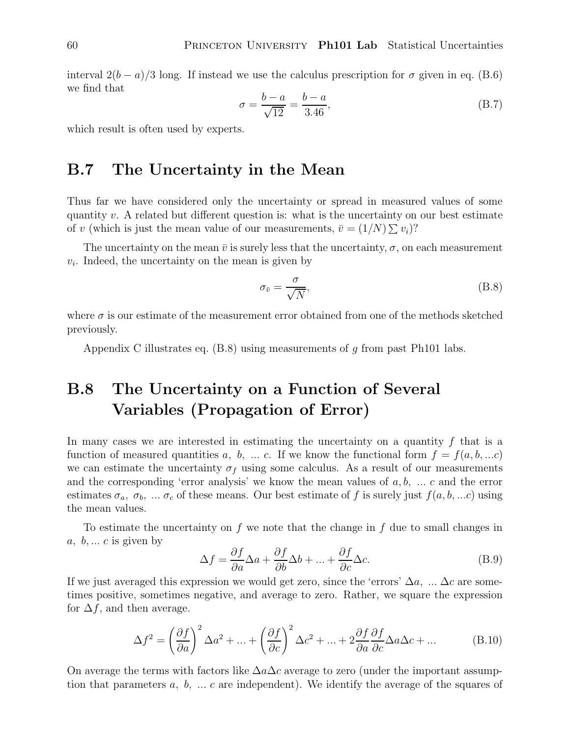interval  $2(b-a)/3$  long. If instead we use the calculus prescription for  $\sigma$  given in eq. (B.6) we find that

$$
\sigma = \frac{b - a}{\sqrt{12}} = \frac{b - a}{3.46},\tag{B.7}
$$

which result is often used by experts.

### **B.7 The Uncertainty in the Mean**

Thus far we have considered only the uncertainty or spread in measured values of some quantity v. A related but different question is: what is the uncertainty on our best estimate of v (which is just the mean value of our measurements,  $\bar{v} = (1/N) \sum v_i$ ?

The uncertainty on the mean  $\bar{v}$  is surely less that the uncertainty,  $\sigma$ , on each measurement  $v_i$ . Indeed, the uncertainty on the mean is given by

$$
\sigma_{\bar{v}} = \frac{\sigma}{\sqrt{N}},\tag{B.8}
$$

where  $\sigma$  is our estimate of the measurement error obtained from one of the methods sketched previously.

Appendix C illustrates eq.  $(B.8)$  using measurements of g from past Ph101 labs.

# **B.8 The Uncertainty on a Function of Several Variables (Propagation of Error)**

In many cases we are interested in estimating the uncertainty on a quantity  $f$  that is a function of measured quantities a, b, ... c. If we know the functional form  $f = f(a, b, ...c)$ we can estimate the uncertainty  $\sigma_f$  using some calculus. As a result of our measurements and the corresponding 'error analysis' we know the mean values of  $a, b, \ldots c$  and the error estimates  $\sigma_a$ ,  $\sigma_b$ , ...  $\sigma_c$  of these means. Our best estimate of f is surely just  $f(a, b, ...c)$  using the mean values.

To estimate the uncertainty on  $f$  we note that the change in  $f$  due to small changes in a,  $b, \ldots c$  is given by

$$
\Delta f = \frac{\partial f}{\partial a} \Delta a + \frac{\partial f}{\partial b} \Delta b + \dots + \frac{\partial f}{\partial c} \Delta c.
$$
 (B.9)

If we just averaged this expression we would get zero, since the 'errors'  $\Delta a$ , ...  $\Delta c$  are sometimes positive, sometimes negative, and average to zero. Rather, we square the expression for  $\Delta f$ , and then average.

$$
\Delta f^2 = \left(\frac{\partial f}{\partial a}\right)^2 \Delta a^2 + \dots + \left(\frac{\partial f}{\partial c}\right)^2 \Delta c^2 + \dots + 2\frac{\partial f}{\partial a}\frac{\partial f}{\partial c} \Delta a \Delta c + \dots
$$
 (B.10)

On average the terms with factors like  $\Delta a \Delta c$  average to zero (under the important assumption that parameters  $a, b, \ldots c$  are independent). We identify the average of the squares of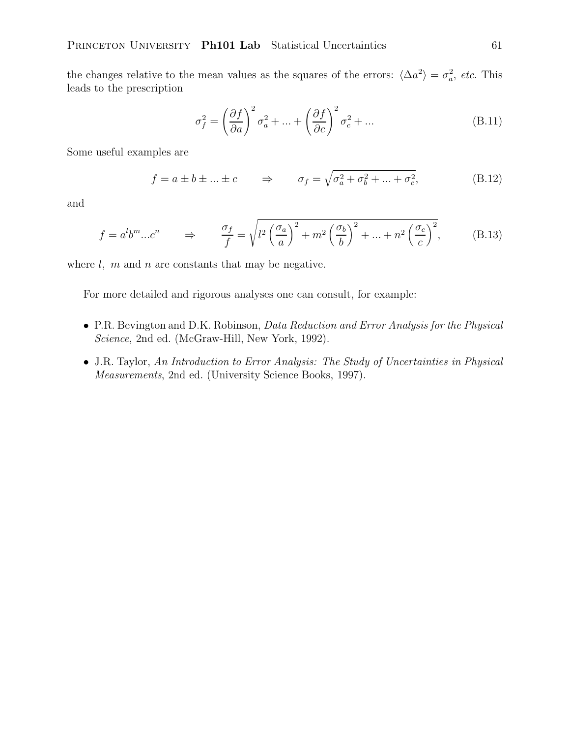the changes relative to the mean values as the squares of the errors:  $\langle \Delta a^2 \rangle = \sigma_a^2$ , *etc.* This leads to the prescription

$$
\sigma_f^2 = \left(\frac{\partial f}{\partial a}\right)^2 \sigma_a^2 + \dots + \left(\frac{\partial f}{\partial c}\right)^2 \sigma_c^2 + \dots
$$
 (B.11)

Some useful examples are

$$
f = a \pm b \pm \dots \pm c \qquad \Rightarrow \qquad \sigma_f = \sqrt{\sigma_a^2 + \sigma_b^2 + \dots + \sigma_c^2}, \tag{B.12}
$$

and

$$
f = a^l b^m ... c^n \qquad \Rightarrow \qquad \frac{\sigma_f}{f} = \sqrt{l^2 \left(\frac{\sigma_a}{a}\right)^2 + m^2 \left(\frac{\sigma_b}{b}\right)^2 + ... + n^2 \left(\frac{\sigma_c}{c}\right)^2},\tag{B.13}
$$

where  $l, m$  and  $n$  are constants that may be negative.

For more detailed and rigorous analyses one can consult, for example:

- P.R. Bevington and D.K. Robinson, *Data Reduction and Error Analysis for the Physical Science*, 2nd ed. (McGraw-Hill, New York, 1992).
- J.R. Taylor, *An Introduction to Error Analysis: The Study of Uncertainties in Physical Measurements*, 2nd ed. (University Science Books, 1997).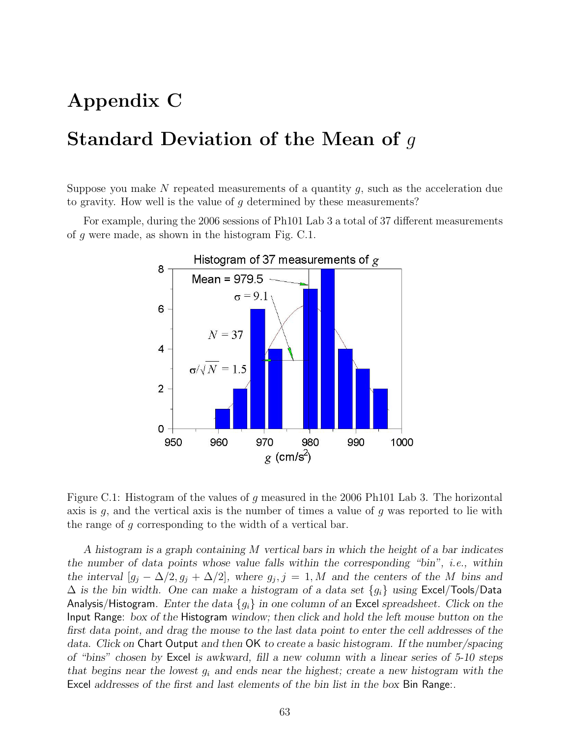# **Appendix C**

# **Standard Deviation of the Mean of** g

Suppose you make N repeated measurements of a quantity  $g$ , such as the acceleration due to gravity. How well is the value of  $g$  determined by these measurements?

For example, during the 2006 sessions of Ph101 Lab 3 a total of 37 different measurements of g were made, as shown in the histogram Fig. C.1.



Figure C.1: Histogram of the values of g measured in the 2006 Ph101 Lab 3. The horizontal axis is  $g$ , and the vertical axis is the number of times a value of  $g$  was reported to lie with the range of g corresponding to the width of a vertical bar.

*A histogram is a graph containing* M *vertical bars in which the height of a bar indicates the number of data points whose value falls within the corresponding "bin", i.e., within the interval*  $[g_j - \Delta/2, g_j + \Delta/2]$ *, where*  $g_j$ *, j* = 1*, M* and the centers of the M bins and  $\Delta$  *is the bin width. One can make a histogram of a data set*  ${g_i}$  *using* Excel/Tools/Data Analysis/Histogram*. Enter the data* {gi} *in one column of an* Excel *spreadsheet. Click on the* Input Range: *box of the* Histogram *window; then click and hold the left mouse button on the first data point, and drag the mouse to the last data point to enter the cell addresses of the data. Click on* Chart Output *and then* OK *to create a basic histogram. If the number/spacing of "bins" chosen by* Excel *is awkward, fill a new column with a linear series of 5-10 steps that begins near the lowest* <sup>g</sup>i *and ends near the highest; create a new histogram with the* Excel *addresses of the first and last elements of the bin list in the box* Bin Range:*.*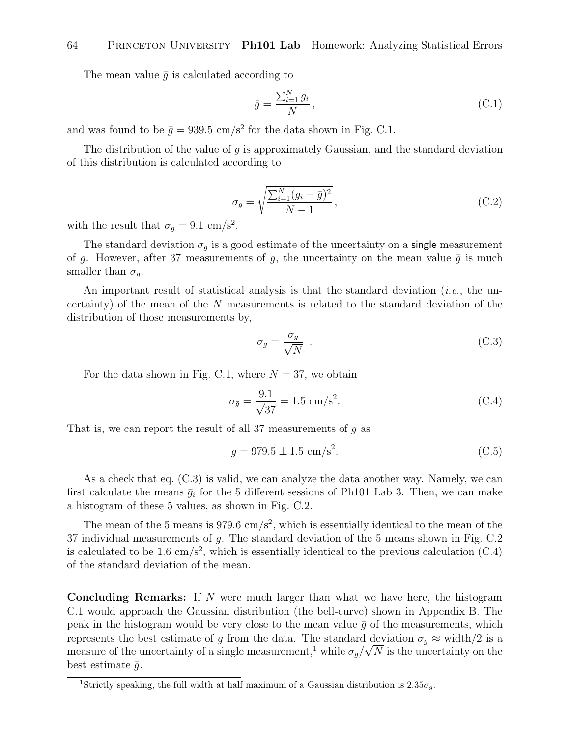The mean value  $\bar{q}$  is calculated according to

$$
\bar{g} = \frac{\sum_{i=1}^{N} g_i}{N},\tag{C.1}
$$

and was found to be  $\bar{g} = 939.5$  cm/s<sup>2</sup> for the data shown in Fig. C.1.

The distribution of the value of  $q$  is approximately Gaussian, and the standard deviation of this distribution is calculated according to

$$
\sigma_g = \sqrt{\frac{\sum_{i=1}^{N} (g_i - \bar{g})^2}{N - 1}},
$$
\n(C.2)

with the result that  $\sigma_g = 9.1 \text{ cm/s}^2$ .

The standard deviation  $\sigma_g$  is a good estimate of the uncertainty on a single measurement of g. However, after 37 measurements of g, the uncertainty on the mean value  $\bar{g}$  is much smaller than  $\sigma_q$ .

An important result of statistical analysis is that the standard deviation (*i.e.*, the uncertainty) of the mean of the N measurements is related to the standard deviation of the distribution of those measurements by,

$$
\sigma_{\bar{g}} = \frac{\sigma_g}{\sqrt{N}} \tag{C.3}
$$

For the data shown in Fig. C.1, where  $N = 37$ , we obtain

$$
\sigma_{\bar{g}} = \frac{9.1}{\sqrt{37}} = 1.5 \text{ cm/s}^2. \tag{C.4}
$$

That is, we can report the result of all 37 measurements of  $g$  as

$$
g = 979.5 \pm 1.5 \text{ cm/s}^2. \tag{C.5}
$$

As a check that eq. (C.3) is valid, we can analyze the data another way. Namely, we can first calculate the means  $\bar{g}_i$  for the 5 different sessions of Ph101 Lab 3. Then, we can make a histogram of these 5 values, as shown in Fig. C.2.

The mean of the 5 means is 979.6 cm/s<sup>2</sup>, which is essentially identical to the mean of the 37 individual measurements of g. The standard deviation of the 5 means shown in Fig. C.2 is calculated to be 1.6 cm/s<sup>2</sup>, which is essentially identical to the previous calculation  $(C.4)$ of the standard deviation of the mean.

**Concluding Remarks:** If N were much larger than what we have here, the histogram C.1 would approach the Gaussian distribution (the bell-curve) shown in Appendix B. The peak in the histogram would be very close to the mean value  $\bar{g}$  of the measurements, which represents the best estimate of g from the data. The standard deviation  $\sigma_g \approx$  width/2 is a measure of the uncertainty of a single measurement,<sup>1</sup> while  $\sigma_g/\sqrt{N}$  is the uncertainty on the best estimate  $\bar{g}$ .

<sup>&</sup>lt;sup>1</sup>Strictly speaking, the full width at half maximum of a Gaussian distribution is  $2.35\sigma_q$ .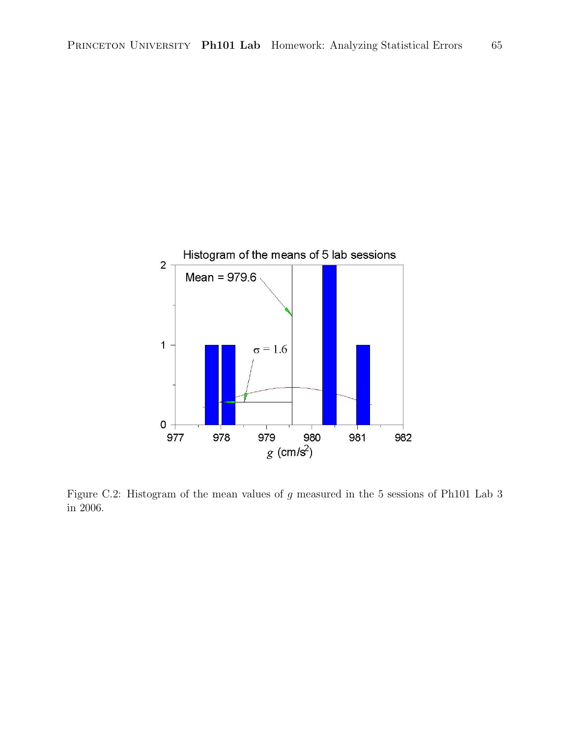

Figure C.2: Histogram of the mean values of g measured in the 5 sessions of Ph101 Lab 3 in 2006.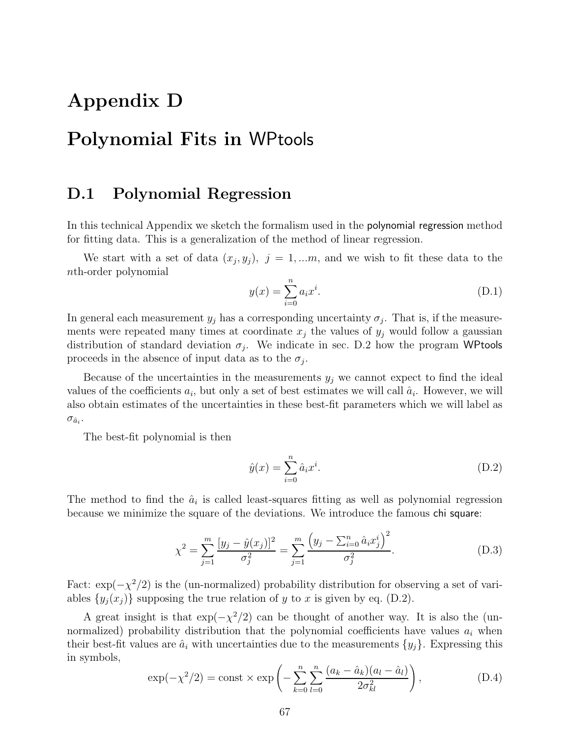# **Appendix D**

# **Polynomial Fits in** WPtools

### **D.1 Polynomial Regression**

In this technical Appendix we sketch the formalism used in the polynomial regression method for fitting data. This is a generalization of the method of linear regression.

We start with a set of data  $(x_j, y_j)$ ,  $j = 1,...m$ , and we wish to fit these data to the nth-order polynomial

$$
y(x) = \sum_{i=0}^{n} a_i x^i.
$$
 (D.1)

In general each measurement  $y_j$  has a corresponding uncertainty  $\sigma_j$ . That is, if the measurements were repeated many times at coordinate  $x_j$  the values of  $y_j$  would follow a gaussian distribution of standard deviation  $\sigma_j$ . We indicate in sec. D.2 how the program WPtools proceeds in the absence of input data as to the  $\sigma_i$ .

Because of the uncertainties in the measurements  $y_j$  we cannot expect to find the ideal values of the coefficients  $a_i$ , but only a set of best estimates we will call  $\hat{a}_i$ . However, we will also obtain estimates of the uncertainties in these best-fit parameters which we will label as  $\sigma_{\hat{a}_i}$ .

The best-fit polynomial is then

$$
\hat{y}(x) = \sum_{i=0}^{n} \hat{a}_i x^i.
$$
\n(D.2)

The method to find the  $\hat{a}_i$  is called least-squares fitting as well as polynomial regression because we minimize the square of the deviations. We introduce the famous chi square:

$$
\chi^2 = \sum_{j=1}^m \frac{[y_j - \hat{y}(x_j)]^2}{\sigma_j^2} = \sum_{j=1}^m \frac{\left(y_j - \sum_{i=0}^n \hat{a}_i x_j^i\right)^2}{\sigma_j^2}.
$$
\n(D.3)

Fact:  $\exp(-\chi^2/2)$  is the (un-normalized) probability distribution for observing a set of variables  $\{y_j(x_j)\}\$  supposing the true relation of y to x is given by eq. (D.2).

A great insight is that  $\exp(-\chi^2/2)$  can be thought of another way. It is also the (unnormalized) probability distribution that the polynomial coefficients have values  $a_i$  when their best-fit values are  $\hat{a}_i$  with uncertainties due to the measurements  $\{y_j\}$ . Expressing this in symbols,

$$
\exp(-\chi^2/2) = \text{const} \times \exp\left(-\sum_{k=0}^n \sum_{l=0}^n \frac{(a_k - \hat{a}_k)(a_l - \hat{a}_l)}{2\sigma_{kl}^2}\right),\tag{D.4}
$$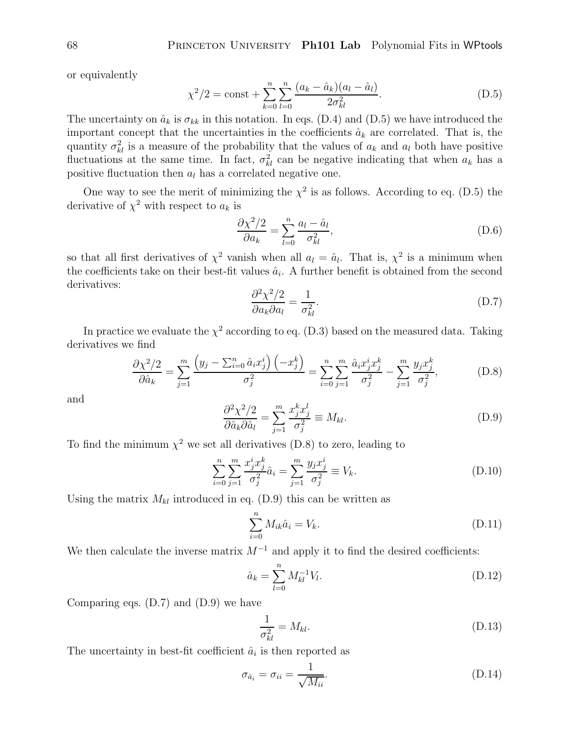or equivalently

$$
\chi^2/2 = \text{const} + \sum_{k=0}^{n} \sum_{l=0}^{n} \frac{(a_k - \hat{a}_k)(a_l - \hat{a}_l)}{2\sigma_{kl}^2}.
$$
 (D.5)

The uncertainty on  $\hat{a}_k$  is  $\sigma_{kk}$  in this notation. In eqs. (D.4) and (D.5) we have introduced the<br>integration consents that the uncertainties in the coefficients  $\hat{c}$  are completed. That is the important concept that the uncertainties in the coefficients  $\hat{a}_k$  are correlated. That is, the quantity  $\sigma_{kl}^2$  is a measure of the probability that the values of  $a_k$  and  $a_l$  both have positive<br>fluctuations at the same time. In fact,  $\sigma_{ij}^2$  can be positive indicating that when  $a_k$  has a fluctuations at the same time. In fact,  $\sigma_{kl}^2$  can be negative indicating that when  $a_k$  has a positive fluctuation than  $a_k$  has a correlated positive and positive fluctuation then  $a_l$  has a correlated negative one.

One way to see the merit of minimizing the  $\chi^2$  is as follows. According to eq. (D.5) the derivative of  $\chi^2$  with respect to  $a_k$  is

$$
\frac{\partial \chi^2/2}{\partial a_k} = \sum_{l=0}^n \frac{a_l - \hat{a}_l}{\sigma_{kl}^2},\tag{D.6}
$$

so that all first derivatives of  $\chi^2$  vanish when all  $a_l = \hat{a}_l$ . That is,  $\chi^2$  is a minimum when the coefficients take on their best-fit values  $\hat{a}_i$ . A further benefit is obtained from the second derivatives:

$$
\frac{\partial^2 \chi^2 / 2}{\partial a_k \partial a_l} = \frac{1}{\sigma_{kl}^2}.
$$
 (D.7)

In practice we evaluate the  $\chi^2$  according to eq. (D.3) based on the measured data. Taking derivatives we find

$$
\frac{\partial \chi^2/2}{\partial \hat{a}_k} = \sum_{j=1}^m \frac{\left(y_j - \sum_{i=0}^n \hat{a}_i x_j^i\right) \left(-x_j^k\right)}{\sigma_j^2} = \sum_{i=0}^n \sum_{j=1}^m \frac{\hat{a}_i x_j^i x_j^k}{\sigma_j^2} - \sum_{j=1}^m \frac{y_j x_j^k}{\sigma_j^2},\tag{D.8}
$$

and

$$
\frac{\partial^2 \chi^2 / 2}{\partial \hat{a}_k \partial \hat{a}_l} = \sum_{j=1}^m \frac{x_j^k x_j^l}{\sigma_j^2} \equiv M_{kl}.
$$
 (D.9)

 $\frac{\partial \hat{a}_k \partial \hat{a}_l}{\partial \hat{a}_k} \stackrel{\sim}{\longrightarrow} \frac{\sigma_j^2}{\sigma_j^2}$  and the minimum  $\chi^2$  we set all derivatives (D.8) to zero, leading to

$$
\sum_{i=0}^{n} \sum_{j=1}^{m} \frac{x_j^i x_j^k}{\sigma_j^2} \hat{a}_i = \sum_{j=1}^{m} \frac{y_j x_j^i}{\sigma_j^2} \equiv V_k.
$$
 (D.10)

Using the matrix  $M_{kl}$  introduced in eq. (D.9) this can be written as

$$
\sum_{i=0}^{n} M_{ik}\hat{a}_i = V_k.
$$
\n(D.11)

We then calculate the inverse matrix  $M^{-1}$  and apply it to find the desired coefficients:

$$
\hat{a}_k = \sum_{l=0}^n M_{kl}^{-1} V_l.
$$
\n(D.12)

Comparing eqs. (D.7) and (D.9) we have

$$
\frac{1}{\sigma_{kl}^2} = M_{kl}.\tag{D.13}
$$

The uncertainty in best-fit coefficient  $\hat{a}_i$  is then reported as

$$
\sigma_{\hat{a}_i} = \sigma_{ii} = \frac{1}{\sqrt{M_{ii}}}.
$$
\n(D.14)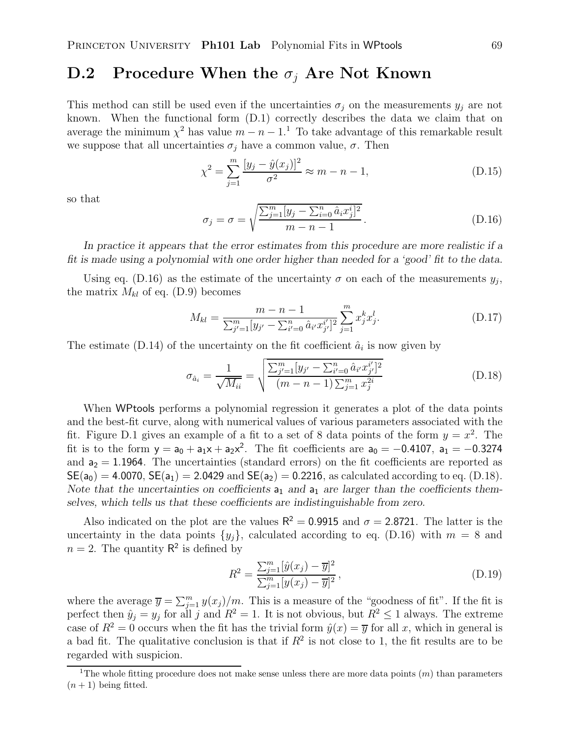## **D.2** Procedure When the  $\sigma_i$  Are Not Known

This method can still be used even if the uncertainties  $\sigma_j$  on the measurements  $y_j$  are not known. When the functional form (D.1) correctly describes the data we claim that on average the minimum  $\chi^2$  has value  $m - n - 1$ .<sup>1</sup> To take advantage of this remarkable result we suppose that all uncertainties  $\sigma_i$  have a common value,  $\sigma$ . Then

$$
\chi^2 = \sum_{j=1}^{m} \frac{[y_j - \hat{y}(x_j)]^2}{\sigma^2} \approx m - n - 1,
$$
\n(D.15)

so that

$$
\sigma_j = \sigma = \sqrt{\frac{\sum_{j=1}^m [y_j - \sum_{i=0}^n \hat{a}_i x_j^i]^2}{m - n - 1}}.
$$
\n(D.16)

*In practice it appears that the error estimates from this procedure are more realistic if a fit is made using a polynomial with one order higher than needed for a 'good' fit to the data.*

Using eq. (D.16) as the estimate of the uncertainty  $\sigma$  on each of the measurements  $y_j$ , the matrix  $M_{kl}$  of eq. (D.9) becomes

$$
M_{kl} = \frac{m - n - 1}{\sum_{j'=1}^{m} [y_{j'} - \sum_{i'=0}^{n} \hat{a}_{i'} x_{j'}^{i'}]^2} \sum_{j=1}^{m} x_j^k x_j^l.
$$
 (D.17)

The estimate (D.14) of the uncertainty on the fit coefficient  $\hat{a}_i$  is now given by

$$
\sigma_{\hat{a}_i} = \frac{1}{\sqrt{M_{ii}}} = \sqrt{\frac{\sum_{j'=1}^m [y_{j'} - \sum_{i'=0}^n \hat{a}_{i'} x_{j'}^{i'}]^2}{(m - n - 1) \sum_{j=1}^m x_j^{2i}}}
$$
(D.18)

When WPtools performs a polynomial regression it generates a plot of the data points and the best-fit curve, along with numerical values of various parameters associated with the fit. Figure D.1 gives an example of a fit to a set of 8 data points of the form  $y = x^2$ . The fit is to the form  $y = a_0 + a_1x + a_2x^2$ . The fit coefficients are  $a_0 = -0.4107$ ,  $a_1 = -0.3274$ and  $a_2 = 1.1964$ . The uncertainties (standard errors) on the fit coefficients are reported as  $SE(a_0) = 4.0070$ ,  $SE(a_1) = 2.0429$  and  $SE(a_2) = 0.2216$ , as calculated according to eq. (D.18). Note that the uncertainties on coefficients  $a_1$  and  $a_1$  are larger than the coefficients them*selves, which tells us that these coefficients are indistinguishable from zero.*

Also indicated on the plot are the values  $R^2 = 0.9915$  and  $\sigma = 2.8721$ . The latter is the uncertainty in the data points  $\{y_j\}$ , calculated according to eq. (D.16) with  $m = 8$  and  $n = 2$ . The quantity  $\mathsf{R}^2$  is defined by

$$
R^{2} = \frac{\sum_{j=1}^{m} [\hat{y}(x_{j}) - \overline{y}]^{2}}{\sum_{j=1}^{m} [y(x_{j}) - \overline{y}]^{2}},
$$
\n(D.19)

where the average  $\overline{y} = \sum_{j=1}^{m} y(x_j)/m$ . This is a measure of the "goodness of fit". If the fit is<br>partect then  $\hat{y} = y$  for all is and  $P^2 = 1$ . It is not obvious, but  $P^2 \le 1$  always. The average perfect then  $\hat{y}_j = y_j$  for all j and  $R^2 = 1$ . It is not obvious, but  $R^2 \le 1$  always. The extreme case of  $R^2 = 0$  occurs when the fit has the trivial form  $\hat{y}(x) = \overline{y}$  for all x, which in general is a bad fit. The qualitative conclusion is that if  $R^2$  is not close to 1, the fit results are to be regarded with suspicion.

<sup>&</sup>lt;sup>1</sup>The whole fitting procedure does not make sense unless there are more data points  $(m)$  than parameters  $(n+1)$  being fitted.